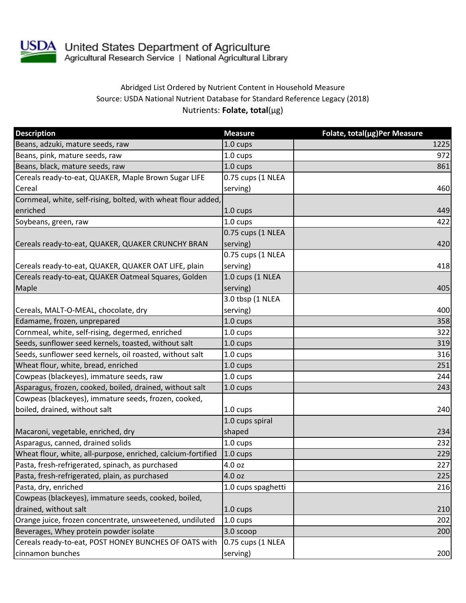

## Abridged List Ordered by Nutrient Content in Household Measure Source: USDA National Nutrient Database for Standard Reference Legacy (2018) Nutrients: **Folate, total**(µg)

| <b>Description</b>                                            | <b>Measure</b>     | Folate, total(µg)Per Measure |
|---------------------------------------------------------------|--------------------|------------------------------|
| Beans, adzuki, mature seeds, raw                              | 1.0 cups           | 1225                         |
| Beans, pink, mature seeds, raw                                | 1.0 cups           | 972                          |
| Beans, black, mature seeds, raw                               | 1.0 cups           | 861                          |
| Cereals ready-to-eat, QUAKER, Maple Brown Sugar LIFE          | 0.75 cups (1 NLEA  |                              |
| Cereal                                                        | serving)           | 460                          |
| Cornmeal, white, self-rising, bolted, with wheat flour added, |                    |                              |
| enriched                                                      | $1.0 \text{ cups}$ | 449                          |
| Soybeans, green, raw                                          | $1.0 \text{ cups}$ | 422                          |
|                                                               | 0.75 cups (1 NLEA  |                              |
| Cereals ready-to-eat, QUAKER, QUAKER CRUNCHY BRAN             | serving)           | 420                          |
|                                                               | 0.75 cups (1 NLEA  |                              |
| Cereals ready-to-eat, QUAKER, QUAKER OAT LIFE, plain          | serving)           | 418                          |
| Cereals ready-to-eat, QUAKER Oatmeal Squares, Golden          | 1.0 cups (1 NLEA   |                              |
| Maple                                                         | serving)           | 405                          |
|                                                               | 3.0 tbsp (1 NLEA   |                              |
| Cereals, MALT-O-MEAL, chocolate, dry                          | serving)           | 400                          |
| Edamame, frozen, unprepared                                   | 1.0 cups           | 358                          |
| Cornmeal, white, self-rising, degermed, enriched              | 1.0 cups           | 322                          |
| Seeds, sunflower seed kernels, toasted, without salt          | $1.0 \text{ cups}$ | 319                          |
| Seeds, sunflower seed kernels, oil roasted, without salt      | 1.0 cups           | 316                          |
| Wheat flour, white, bread, enriched                           | 1.0 cups           | 251                          |
| Cowpeas (blackeyes), immature seeds, raw                      | 1.0 cups           | 244                          |
| Asparagus, frozen, cooked, boiled, drained, without salt      | 1.0 cups           | 243                          |
| Cowpeas (blackeyes), immature seeds, frozen, cooked,          |                    |                              |
| boiled, drained, without salt                                 | 1.0 cups           | 240                          |
|                                                               | 1.0 cups spiral    |                              |
| Macaroni, vegetable, enriched, dry                            | shaped             | 234                          |
| Asparagus, canned, drained solids                             | 1.0 cups           | 232                          |
| Wheat flour, white, all-purpose, enriched, calcium-fortified  | 1.0 cups           | 229                          |
| Pasta, fresh-refrigerated, spinach, as purchased              | 4.0 oz             | 227                          |
| Pasta, fresh-refrigerated, plain, as purchased                | 4.0 oz             | 225                          |
| Pasta, dry, enriched                                          | 1.0 cups spaghetti | 216                          |
| Cowpeas (blackeyes), immature seeds, cooked, boiled,          |                    |                              |
| drained, without salt                                         | $1.0 \text{ cups}$ | 210                          |
| Orange juice, frozen concentrate, unsweetened, undiluted      | 1.0 cups           | 202                          |
| Beverages, Whey protein powder isolate                        | 3.0 scoop          | 200                          |
| Cereals ready-to-eat, POST HONEY BUNCHES OF OATS with         | 0.75 cups (1 NLEA  |                              |
| cinnamon bunches                                              | serving)           | 200                          |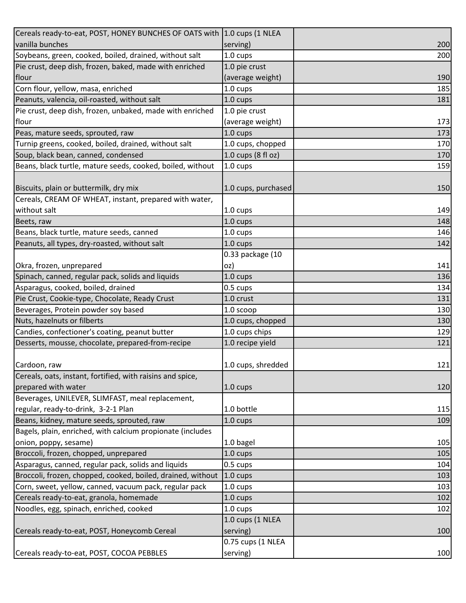| Cereals ready-to-eat, POST, HONEY BUNCHES OF OATS with 1.0 cups (1 NLEA |                     |     |
|-------------------------------------------------------------------------|---------------------|-----|
| vanilla bunches                                                         | serving)            | 200 |
| Soybeans, green, cooked, boiled, drained, without salt                  | 1.0 cups            | 200 |
| Pie crust, deep dish, frozen, baked, made with enriched                 | 1.0 pie crust       |     |
| flour                                                                   | (average weight)    | 190 |
| Corn flour, yellow, masa, enriched                                      | 1.0 cups            | 185 |
| Peanuts, valencia, oil-roasted, without salt                            | 1.0 cups            | 181 |
| Pie crust, deep dish, frozen, unbaked, made with enriched               | 1.0 pie crust       |     |
| flour                                                                   | (average weight)    | 173 |
| Peas, mature seeds, sprouted, raw                                       | $1.0 \text{ cups}$  | 173 |
| Turnip greens, cooked, boiled, drained, without salt                    | 1.0 cups, chopped   | 170 |
| Soup, black bean, canned, condensed                                     | 1.0 cups (8 fl oz)  | 170 |
| Beans, black turtle, mature seeds, cooked, boiled, without              | 1.0 cups            | 159 |
|                                                                         |                     |     |
| Biscuits, plain or buttermilk, dry mix                                  | 1.0 cups, purchased | 150 |
| Cereals, CREAM OF WHEAT, instant, prepared with water,                  |                     |     |
| without salt                                                            | 1.0 cups            | 149 |
| Beets, raw                                                              | $1.0 \text{ cups}$  | 148 |
| Beans, black turtle, mature seeds, canned                               | 1.0 cups            | 146 |
| Peanuts, all types, dry-roasted, without salt                           | 1.0 cups            | 142 |
|                                                                         | 0.33 package (10    |     |
| Okra, frozen, unprepared                                                | oz)                 | 141 |
| Spinach, canned, regular pack, solids and liquids                       | 1.0 cups            | 136 |
| Asparagus, cooked, boiled, drained                                      | 0.5 cups            | 134 |
| Pie Crust, Cookie-type, Chocolate, Ready Crust                          | 1.0 crust           | 131 |
| Beverages, Protein powder soy based                                     | 1.0 scoop           | 130 |
| Nuts, hazelnuts or filberts                                             | 1.0 cups, chopped   | 130 |
| Candies, confectioner's coating, peanut butter                          | 1.0 cups chips      | 129 |
| Desserts, mousse, chocolate, prepared-from-recipe                       | 1.0 recipe yield    | 121 |
|                                                                         |                     |     |
| Cardoon, raw                                                            | 1.0 cups, shredded  | 121 |
| Cereals, oats, instant, fortified, with raisins and spice,              |                     |     |
| prepared with water                                                     | 1.0 cups            | 120 |
| Beverages, UNILEVER, SLIMFAST, meal replacement,                        |                     |     |
| regular, ready-to-drink, 3-2-1 Plan                                     | 1.0 bottle          | 115 |
| Beans, kidney, mature seeds, sprouted, raw                              | 1.0 cups            | 109 |
| Bagels, plain, enriched, with calcium propionate (includes              |                     |     |
| onion, poppy, sesame)                                                   | 1.0 bagel           | 105 |
| Broccoli, frozen, chopped, unprepared                                   | $1.0 \text{ cups}$  | 105 |
| Asparagus, canned, regular pack, solids and liquids                     | 0.5 cups            | 104 |
| Broccoli, frozen, chopped, cooked, boiled, drained, without             | $1.0 \text{ cups}$  | 103 |
| Corn, sweet, yellow, canned, vacuum pack, regular pack                  | 1.0 cups            | 103 |
| Cereals ready-to-eat, granola, homemade                                 | 1.0 cups            | 102 |
| Noodles, egg, spinach, enriched, cooked                                 | 1.0 cups            | 102 |
|                                                                         | 1.0 cups (1 NLEA    |     |
| Cereals ready-to-eat, POST, Honeycomb Cereal                            | serving)            | 100 |
|                                                                         | 0.75 cups (1 NLEA   |     |
| Cereals ready-to-eat, POST, COCOA PEBBLES                               | serving)            | 100 |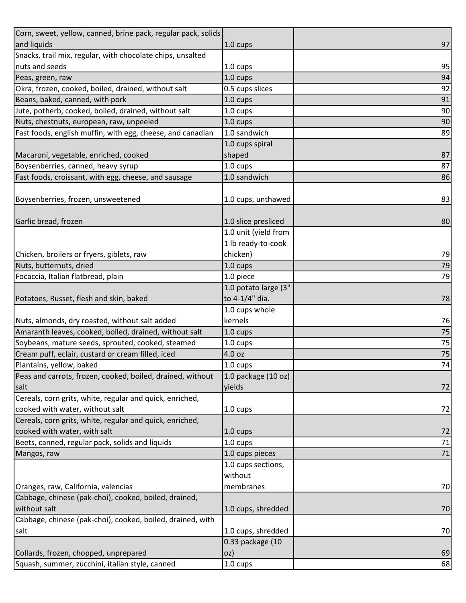| Corn, sweet, yellow, canned, brine pack, regular pack, solids |                      |        |
|---------------------------------------------------------------|----------------------|--------|
| and liquids                                                   | 1.0 cups             | 97     |
| Snacks, trail mix, regular, with chocolate chips, unsalted    |                      |        |
| nuts and seeds                                                | 1.0 cups             | 95     |
| Peas, green, raw                                              | 1.0 cups             | 94     |
| Okra, frozen, cooked, boiled, drained, without salt           | 0.5 cups slices      | 92     |
| Beans, baked, canned, with pork                               | 1.0 cups             | 91     |
| Jute, potherb, cooked, boiled, drained, without salt          | 1.0 cups             | 90     |
| Nuts, chestnuts, european, raw, unpeeled                      | 1.0 cups             | 90     |
| Fast foods, english muffin, with egg, cheese, and canadian    | 1.0 sandwich         | 89     |
|                                                               | 1.0 cups spiral      |        |
| Macaroni, vegetable, enriched, cooked                         | shaped               | 87     |
| Boysenberries, canned, heavy syrup                            | 1.0 cups             | 87     |
| Fast foods, croissant, with egg, cheese, and sausage          | 1.0 sandwich         | 86     |
|                                                               |                      |        |
| Boysenberries, frozen, unsweetened                            | 1.0 cups, unthawed   | 83     |
|                                                               |                      |        |
| Garlic bread, frozen                                          | 1.0 slice presliced  | 80     |
|                                                               | 1.0 unit (yield from |        |
|                                                               | 1 lb ready-to-cook   |        |
| Chicken, broilers or fryers, giblets, raw                     | chicken)             | 79     |
| Nuts, butternuts, dried                                       | $1.0 \text{ cups}$   | 79     |
| Focaccia, Italian flatbread, plain                            | 1.0 piece            | 79     |
|                                                               | 1.0 potato large (3" |        |
| Potatoes, Russet, flesh and skin, baked                       | to 4-1/4" dia.       | 78     |
|                                                               | 1.0 cups whole       |        |
| Nuts, almonds, dry roasted, without salt added                | kernels              | 76     |
| Amaranth leaves, cooked, boiled, drained, without salt        | 1.0 cups             | 75     |
| Soybeans, mature seeds, sprouted, cooked, steamed             | 1.0 cups             | 75     |
| Cream puff, eclair, custard or cream filled, iced             | 4.0 oz               | $75\,$ |
| Plantains, yellow, baked                                      | 1.0 cups             | 74     |
| Peas and carrots, frozen, cooked, boiled, drained, without    | 1.0 package (10 oz)  |        |
| salt                                                          | yields               | 72     |
| Cereals, corn grits, white, regular and quick, enriched,      |                      |        |
| cooked with water, without salt                               | 1.0 cups             | 72     |
| Cereals, corn grits, white, regular and quick, enriched,      |                      |        |
| cooked with water, with salt                                  | 1.0 cups             | 72     |
| Beets, canned, regular pack, solids and liquids               | 1.0 cups             | 71     |
| Mangos, raw                                                   | 1.0 cups pieces      | 71     |
|                                                               | 1.0 cups sections,   |        |
|                                                               | without              |        |
| Oranges, raw, California, valencias                           | membranes            | 70     |
| Cabbage, chinese (pak-choi), cooked, boiled, drained,         |                      |        |
| without salt                                                  | 1.0 cups, shredded   | 70     |
| Cabbage, chinese (pak-choi), cooked, boiled, drained, with    |                      |        |
| salt                                                          | 1.0 cups, shredded   | 70     |
|                                                               | 0.33 package (10     |        |
| Collards, frozen, chopped, unprepared                         | oz)                  | 69     |
| Squash, summer, zucchini, italian style, canned               | 1.0 cups             | 68     |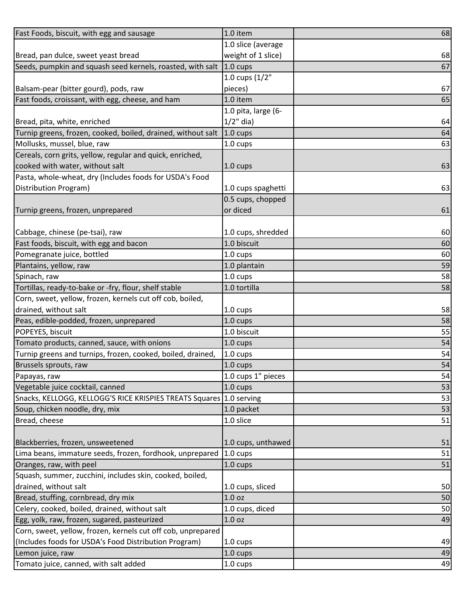| Fast Foods, biscuit, with egg and sausage                                                                    | 1.0 item                             | 68 |
|--------------------------------------------------------------------------------------------------------------|--------------------------------------|----|
|                                                                                                              | 1.0 slice (average                   |    |
| Bread, pan dulce, sweet yeast bread                                                                          | weight of 1 slice)                   | 68 |
| Seeds, pumpkin and squash seed kernels, roasted, with salt                                                   | $1.0 \text{ cups}$                   | 67 |
|                                                                                                              | 1.0 cups (1/2"                       |    |
| Balsam-pear (bitter gourd), pods, raw                                                                        | pieces)                              | 67 |
| Fast foods, croissant, with egg, cheese, and ham                                                             | 1.0 item                             | 65 |
|                                                                                                              | 1.0 pita, large (6-                  |    |
| Bread, pita, white, enriched                                                                                 | $1/2$ " dia)                         | 64 |
| Turnip greens, frozen, cooked, boiled, drained, without salt                                                 | $1.0 \text{ cups}$                   | 64 |
| Mollusks, mussel, blue, raw                                                                                  | 1.0 cups                             | 63 |
| Cereals, corn grits, yellow, regular and quick, enriched,                                                    |                                      |    |
| cooked with water, without salt                                                                              | $1.0 \text{ cups}$                   | 63 |
| Pasta, whole-wheat, dry (Includes foods for USDA's Food                                                      |                                      |    |
| Distribution Program)                                                                                        | 1.0 cups spaghetti                   | 63 |
|                                                                                                              | 0.5 cups, chopped                    |    |
| Turnip greens, frozen, unprepared                                                                            | or diced                             | 61 |
|                                                                                                              |                                      |    |
| Cabbage, chinese (pe-tsai), raw                                                                              | 1.0 cups, shredded                   | 60 |
| Fast foods, biscuit, with egg and bacon                                                                      | 1.0 biscuit                          | 60 |
| Pomegranate juice, bottled                                                                                   | 1.0 cups                             | 60 |
| Plantains, yellow, raw                                                                                       | 1.0 plantain                         | 59 |
| Spinach, raw                                                                                                 | 1.0 cups                             | 58 |
| Tortillas, ready-to-bake or -fry, flour, shelf stable                                                        | 1.0 tortilla                         | 58 |
| Corn, sweet, yellow, frozen, kernels cut off cob, boiled,                                                    |                                      |    |
| drained, without salt                                                                                        | 1.0 cups                             | 58 |
| Peas, edible-podded, frozen, unprepared                                                                      | 1.0 cups                             | 58 |
| POPEYES, biscuit                                                                                             | 1.0 biscuit                          | 55 |
| Tomato products, canned, sauce, with onions                                                                  | 1.0 cups                             | 54 |
| Turnip greens and turnips, frozen, cooked, boiled, drained,                                                  | 1.0 cups                             | 54 |
| Brussels sprouts, raw                                                                                        | 1.0 cups                             | 54 |
| Papayas, raw                                                                                                 | 1.0 cups 1" pieces                   | 54 |
| Vegetable juice cocktail, canned                                                                             | $1.0 \text{ cups}$                   | 53 |
| Snacks, KELLOGG, KELLOGG'S RICE KRISPIES TREATS Squares 1.0 serving                                          |                                      | 53 |
| Soup, chicken noodle, dry, mix                                                                               | 1.0 packet                           | 53 |
| Bread, cheese                                                                                                | 1.0 slice                            | 51 |
|                                                                                                              |                                      |    |
| Blackberries, frozen, unsweetened                                                                            | 1.0 cups, unthawed                   | 51 |
| Lima beans, immature seeds, frozen, fordhook, unprepared                                                     | $1.0 \text{ cups}$                   | 51 |
| Oranges, raw, with peel                                                                                      | 1.0 cups                             | 51 |
| Squash, summer, zucchini, includes skin, cooked, boiled,                                                     |                                      |    |
| drained, without salt                                                                                        | 1.0 cups, sliced                     | 50 |
| Bread, stuffing, cornbread, dry mix                                                                          | 1.0 <sub>oz</sub>                    | 50 |
| Celery, cooked, boiled, drained, without salt                                                                | 1.0 cups, diced<br>1.0 <sub>oz</sub> | 50 |
| Egg, yolk, raw, frozen, sugared, pasteurized<br>Corn, sweet, yellow, frozen, kernels cut off cob, unprepared |                                      | 49 |
| (Includes foods for USDA's Food Distribution Program)                                                        |                                      | 49 |
|                                                                                                              | $1.0 \text{ cups}$                   |    |
| Lemon juice, raw                                                                                             | $1.0 \text{ cups}$                   | 49 |
| Tomato juice, canned, with salt added                                                                        | 1.0 cups                             | 49 |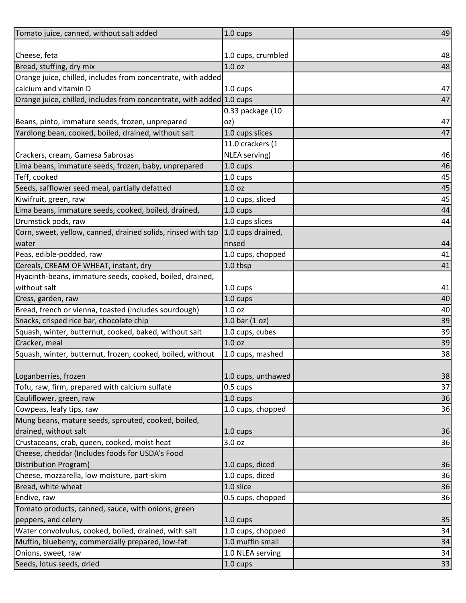| Tomato juice, canned, without salt added                              | 1.0 cups           | 49 |
|-----------------------------------------------------------------------|--------------------|----|
|                                                                       |                    |    |
| Cheese, feta                                                          | 1.0 cups, crumbled | 48 |
| Bread, stuffing, dry mix                                              | 1.0 <sub>oz</sub>  | 48 |
| Orange juice, chilled, includes from concentrate, with added          |                    |    |
| calcium and vitamin D                                                 | 1.0 cups           | 47 |
| Orange juice, chilled, includes from concentrate, with added 1.0 cups |                    | 47 |
|                                                                       | 0.33 package (10   |    |
| Beans, pinto, immature seeds, frozen, unprepared                      | oz)                | 47 |
| Yardlong bean, cooked, boiled, drained, without salt                  | 1.0 cups slices    | 47 |
|                                                                       | 11.0 crackers (1   |    |
| Crackers, cream, Gamesa Sabrosas                                      | NLEA serving)      | 46 |
| Lima beans, immature seeds, frozen, baby, unprepared                  | $1.0 \text{ cups}$ | 46 |
| Teff, cooked                                                          | 1.0 cups           | 45 |
| Seeds, safflower seed meal, partially defatted                        | 1.0 <sub>oz</sub>  | 45 |
| Kiwifruit, green, raw                                                 | 1.0 cups, sliced   | 45 |
| Lima beans, immature seeds, cooked, boiled, drained,                  | 1.0 cups           | 44 |
| Drumstick pods, raw                                                   | 1.0 cups slices    | 44 |
| Corn, sweet, yellow, canned, drained solids, rinsed with tap          | 1.0 cups drained,  |    |
| water                                                                 | rinsed             | 44 |
| Peas, edible-podded, raw                                              | 1.0 cups, chopped  | 41 |
| Cereals, CREAM OF WHEAT, instant, dry                                 | 1.0 tbsp           | 41 |
| Hyacinth-beans, immature seeds, cooked, boiled, drained,              |                    |    |
| without salt                                                          | 1.0 cups           | 41 |
| Cress, garden, raw                                                    | 1.0 cups           | 40 |
| Bread, french or vienna, toasted (includes sourdough)                 | 1.0 oz             | 40 |
| Snacks, crisped rice bar, chocolate chip                              | 1.0 bar $(1 oz)$   | 39 |
| Squash, winter, butternut, cooked, baked, without salt                | 1.0 cups, cubes    | 39 |
| Cracker, meal                                                         | 1.0 oz             | 39 |
| Squash, winter, butternut, frozen, cooked, boiled, without            | 1.0 cups, mashed   | 38 |
|                                                                       |                    |    |
| Loganberries, frozen                                                  | 1.0 cups, unthawed | 38 |
| Tofu, raw, firm, prepared with calcium sulfate                        | 0.5 cups           | 37 |
| Cauliflower, green, raw                                               | 1.0 cups           | 36 |
| Cowpeas, leafy tips, raw                                              | 1.0 cups, chopped  | 36 |
| Mung beans, mature seeds, sprouted, cooked, boiled,                   |                    |    |
| drained, without salt                                                 | 1.0 cups           | 36 |
| Crustaceans, crab, queen, cooked, moist heat                          | 3.0 oz             | 36 |
| Cheese, cheddar (Includes foods for USDA's Food                       |                    |    |
| <b>Distribution Program)</b>                                          | 1.0 cups, diced    | 36 |
| Cheese, mozzarella, low moisture, part-skim                           | 1.0 cups, diced    | 36 |
| Bread, white wheat                                                    | 1.0 slice          | 36 |
| Endive, raw                                                           | 0.5 cups, chopped  | 36 |
| Tomato products, canned, sauce, with onions, green                    |                    |    |
| peppers, and celery                                                   | $1.0 \text{ cups}$ | 35 |
| Water convolvulus, cooked, boiled, drained, with salt                 | 1.0 cups, chopped  | 34 |
| Muffin, blueberry, commercially prepared, low-fat                     | 1.0 muffin small   | 34 |
| Onions, sweet, raw                                                    | 1.0 NLEA serving   | 34 |
| Seeds, lotus seeds, dried                                             | 1.0 cups           | 33 |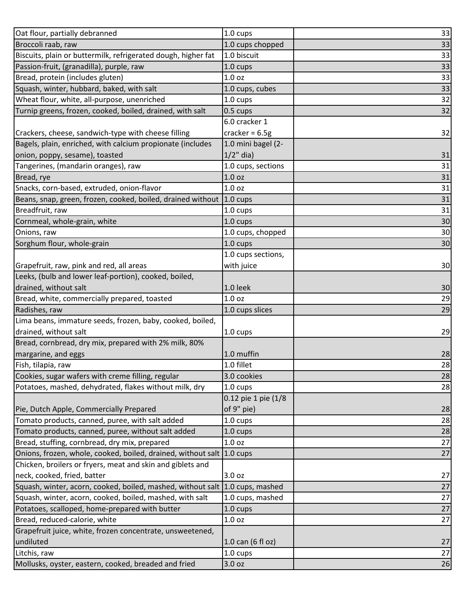| Oat flour, partially debranned                                | 1.0 cups            | 33 |
|---------------------------------------------------------------|---------------------|----|
| Broccoli raab, raw                                            | 1.0 cups chopped    | 33 |
| Biscuits, plain or buttermilk, refrigerated dough, higher fat | 1.0 biscuit         | 33 |
| Passion-fruit, (granadilla), purple, raw                      | 1.0 cups            | 33 |
| Bread, protein (includes gluten)                              | 1.0 <sub>oz</sub>   | 33 |
| Squash, winter, hubbard, baked, with salt                     | 1.0 cups, cubes     | 33 |
| Wheat flour, white, all-purpose, unenriched                   | $1.0 \text{ cups}$  | 32 |
| Turnip greens, frozen, cooked, boiled, drained, with salt     | 0.5 cups            | 32 |
|                                                               | 6.0 cracker 1       |    |
| Crackers, cheese, sandwich-type with cheese filling           | cracker = $6.5g$    | 32 |
| Bagels, plain, enriched, with calcium propionate (includes    | 1.0 mini bagel (2-  |    |
| onion, poppy, sesame), toasted                                | $1/2$ " dia)        | 31 |
| Tangerines, (mandarin oranges), raw                           | 1.0 cups, sections  | 31 |
| Bread, rye                                                    | 1.0 <sub>oz</sub>   | 31 |
| Snacks, corn-based, extruded, onion-flavor                    | 1.0 <sub>oz</sub>   | 31 |
| Beans, snap, green, frozen, cooked, boiled, drained without   | $1.0 \text{ cups}$  | 31 |
| Breadfruit, raw                                               | 1.0 cups            | 31 |
| Cornmeal, whole-grain, white                                  | $1.0 \text{ cups}$  | 30 |
| Onions, raw                                                   | 1.0 cups, chopped   | 30 |
| Sorghum flour, whole-grain                                    | 1.0 cups            | 30 |
|                                                               | 1.0 cups sections,  |    |
| Grapefruit, raw, pink and red, all areas                      | with juice          | 30 |
| Leeks, (bulb and lower leaf-portion), cooked, boiled,         |                     |    |
| drained, without salt                                         | 1.0 leek            | 30 |
| Bread, white, commercially prepared, toasted                  | 1.0 <sub>oz</sub>   | 29 |
| Radishes, raw                                                 | 1.0 cups slices     | 29 |
| Lima beans, immature seeds, frozen, baby, cooked, boiled,     |                     |    |
| drained, without salt                                         | 1.0 cups            | 29 |
| Bread, cornbread, dry mix, prepared with 2% milk, 80%         |                     |    |
| margarine, and eggs                                           | 1.0 muffin          | 28 |
| Fish, tilapia, raw                                            | 1.0 fillet          | 28 |
| Cookies, sugar wafers with creme filling, regular             | 3.0 cookies         | 28 |
| Potatoes, mashed, dehydrated, flakes without milk, dry        | 1.0 cups            | 28 |
|                                                               | 0.12 pie 1 pie (1/8 |    |
| Pie, Dutch Apple, Commercially Prepared                       | of 9" pie)          | 28 |
| Tomato products, canned, puree, with salt added               | 1.0 cups            | 28 |
| Tomato products, canned, puree, without salt added            | 1.0 cups            | 28 |
| Bread, stuffing, cornbread, dry mix, prepared                 | $1.0$ oz            | 27 |
| Onions, frozen, whole, cooked, boiled, drained, without salt  | $1.0 \text{ cups}$  | 27 |
| Chicken, broilers or fryers, meat and skin and giblets and    |                     |    |
| neck, cooked, fried, batter                                   | 3.0 oz              | 27 |
| Squash, winter, acorn, cooked, boiled, mashed, without salt   | 1.0 cups, mashed    | 27 |
| Squash, winter, acorn, cooked, boiled, mashed, with salt      | 1.0 cups, mashed    | 27 |
| Potatoes, scalloped, home-prepared with butter                | 1.0 cups            | 27 |
| Bread, reduced-calorie, white                                 | 1.0 <sub>oz</sub>   | 27 |
| Grapefruit juice, white, frozen concentrate, unsweetened,     |                     |    |
| undiluted                                                     | $1.0$ can (6 fl oz) | 27 |
| Litchis, raw                                                  | 1.0 cups            | 27 |
| Mollusks, oyster, eastern, cooked, breaded and fried          | 3.0 oz              | 26 |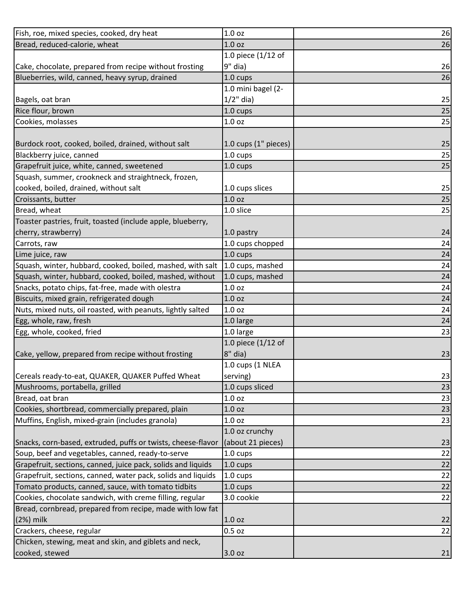| Fish, roe, mixed species, cooked, dry heat                   | 1.0 oz               | 26 |
|--------------------------------------------------------------|----------------------|----|
| Bread, reduced-calorie, wheat                                | 1.0 <sub>oz</sub>    | 26 |
|                                                              | 1.0 piece $(1/12$ of |    |
| Cake, chocolate, prepared from recipe without frosting       | 9" dia)              | 26 |
| Blueberries, wild, canned, heavy syrup, drained              | 1.0 cups             | 26 |
|                                                              | 1.0 mini bagel (2-   |    |
| Bagels, oat bran                                             | $1/2$ " dia)         | 25 |
| Rice flour, brown                                            | 1.0 cups             | 25 |
| Cookies, molasses                                            | 1.0 <sub>oz</sub>    | 25 |
|                                                              |                      |    |
| Burdock root, cooked, boiled, drained, without salt          | 1.0 cups (1" pieces) | 25 |
| Blackberry juice, canned                                     | 1.0 cups             | 25 |
| Grapefruit juice, white, canned, sweetened                   | 1.0 cups             | 25 |
| Squash, summer, crookneck and straightneck, frozen,          |                      |    |
| cooked, boiled, drained, without salt                        | 1.0 cups slices      | 25 |
| Croissants, butter                                           | 1.0 <sub>oz</sub>    | 25 |
| Bread, wheat                                                 | 1.0 slice            | 25 |
| Toaster pastries, fruit, toasted (include apple, blueberry,  |                      |    |
| cherry, strawberry)                                          | 1.0 pastry           | 24 |
| Carrots, raw                                                 | 1.0 cups chopped     | 24 |
| Lime juice, raw                                              | 1.0 cups             | 24 |
| Squash, winter, hubbard, cooked, boiled, mashed, with salt   | 1.0 cups, mashed     | 24 |
| Squash, winter, hubbard, cooked, boiled, mashed, without     | 1.0 cups, mashed     | 24 |
| Snacks, potato chips, fat-free, made with olestra            | 1.0 <sub>oz</sub>    | 24 |
| Biscuits, mixed grain, refrigerated dough                    | 1.0 <sub>oz</sub>    | 24 |
| Nuts, mixed nuts, oil roasted, with peanuts, lightly salted  | 1.0 <sub>oz</sub>    | 24 |
| Egg, whole, raw, fresh                                       | 1.0 large            | 24 |
| Egg, whole, cooked, fried                                    | 1.0 large            | 23 |
|                                                              | 1.0 piece (1/12 of   |    |
| Cake, yellow, prepared from recipe without frosting          | $8"$ dia)            | 23 |
|                                                              | 1.0 cups (1 NLEA     |    |
| Cereals ready-to-eat, QUAKER, QUAKER Puffed Wheat            | serving)             | 23 |
| Mushrooms, portabella, grilled                               | 1.0 cups sliced      | 23 |
| Bread, oat bran                                              | 1.0 <sub>oz</sub>    | 23 |
| Cookies, shortbread, commercially prepared, plain            | 1.0 <sub>oz</sub>    | 23 |
| Muffins, English, mixed-grain (includes granola)             | 1.0 oz               | 23 |
|                                                              | 1.0 oz crunchy       |    |
| Snacks, corn-based, extruded, puffs or twists, cheese-flavor | (about 21 pieces)    | 23 |
| Soup, beef and vegetables, canned, ready-to-serve            | 1.0 cups             | 22 |
| Grapefruit, sections, canned, juice pack, solids and liquids | 1.0 cups             | 22 |
| Grapefruit, sections, canned, water pack, solids and liquids | 1.0 cups             | 22 |
| Tomato products, canned, sauce, with tomato tidbits          | 1.0 cups             | 22 |
| Cookies, chocolate sandwich, with creme filling, regular     | 3.0 cookie           | 22 |
| Bread, cornbread, prepared from recipe, made with low fat    |                      |    |
| $(2%)$ milk                                                  | 1.0 <sub>oz</sub>    | 22 |
| Crackers, cheese, regular                                    | $0.5$ oz             | 22 |
| Chicken, stewing, meat and skin, and giblets and neck,       |                      |    |
| cooked, stewed                                               | 3.0 oz               | 21 |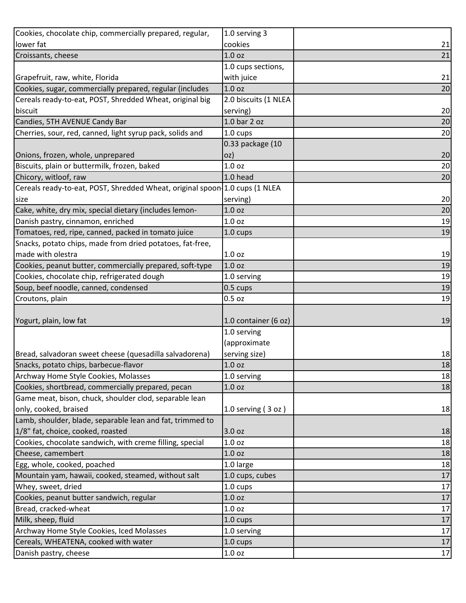| Cookies, chocolate chip, commercially prepared, regular,                    | 1.0 serving 3        |              |
|-----------------------------------------------------------------------------|----------------------|--------------|
| lower fat                                                                   | cookies              | 21           |
| Croissants, cheese                                                          | 1.0 <sub>oz</sub>    | 21           |
|                                                                             | 1.0 cups sections,   |              |
| Grapefruit, raw, white, Florida                                             | with juice           | 21           |
| Cookies, sugar, commercially prepared, regular (includes                    | 1.0 <sub>oz</sub>    | 20           |
| Cereals ready-to-eat, POST, Shredded Wheat, original big                    | 2.0 biscuits (1 NLEA |              |
| biscuit                                                                     | serving)             | 20           |
| Candies, 5TH AVENUE Candy Bar                                               | $1.0$ bar $2$ oz     | 20           |
| Cherries, sour, red, canned, light syrup pack, solids and                   | 1.0 cups             | 20           |
|                                                                             | 0.33 package (10     |              |
| Onions, frozen, whole, unprepared                                           | oz)                  | 20           |
| Biscuits, plain or buttermilk, frozen, baked                                | 1.0 <sub>oz</sub>    | 20           |
| Chicory, witloof, raw                                                       | 1.0 head             | 20           |
| Cereals ready-to-eat, POST, Shredded Wheat, original spoon 1.0 cups (1 NLEA |                      |              |
| size                                                                        | serving)             | 20           |
| Cake, white, dry mix, special dietary (includes lemon-                      | 1.0 oz               | 20           |
| Danish pastry, cinnamon, enriched                                           | 1.0 <sub>oz</sub>    | 19           |
| Tomatoes, red, ripe, canned, packed in tomato juice                         | $1.0 \text{ cups}$   | 19           |
| Snacks, potato chips, made from dried potatoes, fat-free,                   |                      |              |
| made with olestra                                                           | 1.0 <sub>oz</sub>    | 19           |
| Cookies, peanut butter, commercially prepared, soft-type                    | 1.0 oz               | 19           |
| Cookies, chocolate chip, refrigerated dough                                 | 1.0 serving          | 19           |
| Soup, beef noodle, canned, condensed                                        | 0.5 cups             | 19           |
| Croutons, plain                                                             | $0.5$ oz             | 19           |
|                                                                             |                      |              |
| Yogurt, plain, low fat                                                      | 1.0 container (6 oz) | 19           |
|                                                                             | 1.0 serving          |              |
|                                                                             | (approximate         |              |
| Bread, salvadoran sweet cheese (quesadilla salvadorena)                     | serving size)        | 18           |
| Snacks, potato chips, barbecue-flavor                                       | 1.0 oz               | 18           |
| Archway Home Style Cookies, Molasses                                        | 1.0 serving          | 18           |
| Cookies, shortbread, commercially prepared, pecan                           | 1.0 oz               | 18           |
| Game meat, bison, chuck, shoulder clod, separable lean                      |                      |              |
| only, cooked, braised                                                       | 1.0 serving $(3 oz)$ | 18           |
| Lamb, shoulder, blade, separable lean and fat, trimmed to                   |                      |              |
| 1/8" fat, choice, cooked, roasted                                           | 3.0 oz               | 18           |
| Cookies, chocolate sandwich, with creme filling, special                    | 1.0 oz               | 18           |
| Cheese, camembert                                                           | 1.0 oz               | 18           |
| Egg, whole, cooked, poached                                                 |                      |              |
| Mountain yam, hawaii, cooked, steamed, without salt                         | 1.0 large            |              |
|                                                                             | 1.0 cups, cubes      | 17           |
| Whey, sweet, dried                                                          | 1.0 cups             | 17           |
| Cookies, peanut butter sandwich, regular                                    | 1.0 oz               | $17\,$       |
| Bread, cracked-wheat                                                        | 1.0 oz               | 18<br>17     |
| Milk, sheep, fluid                                                          | 1.0 cups             | 17           |
| Archway Home Style Cookies, Iced Molasses                                   | 1.0 serving          | 17           |
| Cereals, WHEATENA, cooked with water<br>Danish pastry, cheese               | 1.0 cups             | 17<br>$17\,$ |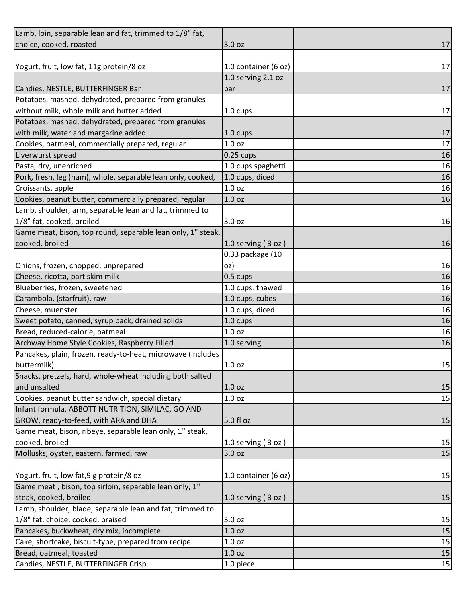| choice, cooked, roasted<br>17<br>3.0 oz<br>Yogurt, fruit, low fat, 11g protein/8 oz<br>1.0 container (6 oz)<br>17<br>1.0 serving 2.1 oz<br>Candies, NESTLE, BUTTERFINGER Bar<br>bar<br>Potatoes, mashed, dehydrated, prepared from granules<br>without milk, whole milk and butter added<br>17<br>1.0 cups<br>Potatoes, mashed, dehydrated, prepared from granules<br>with milk, water and margarine added<br>17<br>1.0 cups<br>Cookies, oatmeal, commercially prepared, regular<br>1.0 <sub>oz</sub><br>17<br>$0.25$ cups<br>Liverwurst spread<br>16<br>Pasta, dry, unenriched<br>1.0 cups spaghetti<br>16<br>Pork, fresh, leg (ham), whole, separable lean only, cooked,<br>1.0 cups, diced<br>16<br>1.0 <sub>oz</sub><br>16<br>Croissants, apple<br>Cookies, peanut butter, commercially prepared, regular<br>1.0 <sub>oz</sub><br>16<br>Lamb, shoulder, arm, separable lean and fat, trimmed to<br>1/8" fat, cooked, broiled<br>3.0 oz<br>16<br>Game meat, bison, top round, separable lean only, 1" steak,<br>cooked, broiled<br>1.0 serving $(3 oz)$<br>16<br>0.33 package (10<br>Onions, frozen, chopped, unprepared<br>16<br>oz)<br>Cheese, ricotta, part skim milk<br>$0.5 \text{ cups}$<br>16<br>Blueberries, frozen, sweetened<br>1.0 cups, thawed<br>16<br>Carambola, (starfruit), raw<br>1.0 cups, cubes<br>16<br>1.0 cups, diced<br>16<br>Cheese, muenster<br>Sweet potato, canned, syrup pack, drained solids<br>16<br>1.0 cups<br>1.0 <sub>oz</sub><br>Bread, reduced-calorie, oatmeal<br>16<br>Archway Home Style Cookies, Raspberry Filled<br>1.0 serving<br>16<br>Pancakes, plain, frozen, ready-to-heat, microwave (includes<br>buttermilk)<br>1.0 <sub>oz</sub><br>Snacks, pretzels, hard, whole-wheat including both salted<br>and unsalted<br>1.0 <sub>oz</sub><br>15<br>Cookies, peanut butter sandwich, special dietary<br>15<br>1.0 <sub>oz</sub><br>Infant formula, ABBOTT NUTRITION, SIMILAC, GO AND |
|----------------------------------------------------------------------------------------------------------------------------------------------------------------------------------------------------------------------------------------------------------------------------------------------------------------------------------------------------------------------------------------------------------------------------------------------------------------------------------------------------------------------------------------------------------------------------------------------------------------------------------------------------------------------------------------------------------------------------------------------------------------------------------------------------------------------------------------------------------------------------------------------------------------------------------------------------------------------------------------------------------------------------------------------------------------------------------------------------------------------------------------------------------------------------------------------------------------------------------------------------------------------------------------------------------------------------------------------------------------------------------------------------------------------------------------------------------------------------------------------------------------------------------------------------------------------------------------------------------------------------------------------------------------------------------------------------------------------------------------------------------------------------------------------------------------------------------------------------------------------------------------------------------------------------------|
| 17                                                                                                                                                                                                                                                                                                                                                                                                                                                                                                                                                                                                                                                                                                                                                                                                                                                                                                                                                                                                                                                                                                                                                                                                                                                                                                                                                                                                                                                                                                                                                                                                                                                                                                                                                                                                                                                                                                                               |
|                                                                                                                                                                                                                                                                                                                                                                                                                                                                                                                                                                                                                                                                                                                                                                                                                                                                                                                                                                                                                                                                                                                                                                                                                                                                                                                                                                                                                                                                                                                                                                                                                                                                                                                                                                                                                                                                                                                                  |
|                                                                                                                                                                                                                                                                                                                                                                                                                                                                                                                                                                                                                                                                                                                                                                                                                                                                                                                                                                                                                                                                                                                                                                                                                                                                                                                                                                                                                                                                                                                                                                                                                                                                                                                                                                                                                                                                                                                                  |
|                                                                                                                                                                                                                                                                                                                                                                                                                                                                                                                                                                                                                                                                                                                                                                                                                                                                                                                                                                                                                                                                                                                                                                                                                                                                                                                                                                                                                                                                                                                                                                                                                                                                                                                                                                                                                                                                                                                                  |
| 15                                                                                                                                                                                                                                                                                                                                                                                                                                                                                                                                                                                                                                                                                                                                                                                                                                                                                                                                                                                                                                                                                                                                                                                                                                                                                                                                                                                                                                                                                                                                                                                                                                                                                                                                                                                                                                                                                                                               |
|                                                                                                                                                                                                                                                                                                                                                                                                                                                                                                                                                                                                                                                                                                                                                                                                                                                                                                                                                                                                                                                                                                                                                                                                                                                                                                                                                                                                                                                                                                                                                                                                                                                                                                                                                                                                                                                                                                                                  |
|                                                                                                                                                                                                                                                                                                                                                                                                                                                                                                                                                                                                                                                                                                                                                                                                                                                                                                                                                                                                                                                                                                                                                                                                                                                                                                                                                                                                                                                                                                                                                                                                                                                                                                                                                                                                                                                                                                                                  |
|                                                                                                                                                                                                                                                                                                                                                                                                                                                                                                                                                                                                                                                                                                                                                                                                                                                                                                                                                                                                                                                                                                                                                                                                                                                                                                                                                                                                                                                                                                                                                                                                                                                                                                                                                                                                                                                                                                                                  |
|                                                                                                                                                                                                                                                                                                                                                                                                                                                                                                                                                                                                                                                                                                                                                                                                                                                                                                                                                                                                                                                                                                                                                                                                                                                                                                                                                                                                                                                                                                                                                                                                                                                                                                                                                                                                                                                                                                                                  |
|                                                                                                                                                                                                                                                                                                                                                                                                                                                                                                                                                                                                                                                                                                                                                                                                                                                                                                                                                                                                                                                                                                                                                                                                                                                                                                                                                                                                                                                                                                                                                                                                                                                                                                                                                                                                                                                                                                                                  |
|                                                                                                                                                                                                                                                                                                                                                                                                                                                                                                                                                                                                                                                                                                                                                                                                                                                                                                                                                                                                                                                                                                                                                                                                                                                                                                                                                                                                                                                                                                                                                                                                                                                                                                                                                                                                                                                                                                                                  |
|                                                                                                                                                                                                                                                                                                                                                                                                                                                                                                                                                                                                                                                                                                                                                                                                                                                                                                                                                                                                                                                                                                                                                                                                                                                                                                                                                                                                                                                                                                                                                                                                                                                                                                                                                                                                                                                                                                                                  |
|                                                                                                                                                                                                                                                                                                                                                                                                                                                                                                                                                                                                                                                                                                                                                                                                                                                                                                                                                                                                                                                                                                                                                                                                                                                                                                                                                                                                                                                                                                                                                                                                                                                                                                                                                                                                                                                                                                                                  |
|                                                                                                                                                                                                                                                                                                                                                                                                                                                                                                                                                                                                                                                                                                                                                                                                                                                                                                                                                                                                                                                                                                                                                                                                                                                                                                                                                                                                                                                                                                                                                                                                                                                                                                                                                                                                                                                                                                                                  |
|                                                                                                                                                                                                                                                                                                                                                                                                                                                                                                                                                                                                                                                                                                                                                                                                                                                                                                                                                                                                                                                                                                                                                                                                                                                                                                                                                                                                                                                                                                                                                                                                                                                                                                                                                                                                                                                                                                                                  |
|                                                                                                                                                                                                                                                                                                                                                                                                                                                                                                                                                                                                                                                                                                                                                                                                                                                                                                                                                                                                                                                                                                                                                                                                                                                                                                                                                                                                                                                                                                                                                                                                                                                                                                                                                                                                                                                                                                                                  |
|                                                                                                                                                                                                                                                                                                                                                                                                                                                                                                                                                                                                                                                                                                                                                                                                                                                                                                                                                                                                                                                                                                                                                                                                                                                                                                                                                                                                                                                                                                                                                                                                                                                                                                                                                                                                                                                                                                                                  |
|                                                                                                                                                                                                                                                                                                                                                                                                                                                                                                                                                                                                                                                                                                                                                                                                                                                                                                                                                                                                                                                                                                                                                                                                                                                                                                                                                                                                                                                                                                                                                                                                                                                                                                                                                                                                                                                                                                                                  |
|                                                                                                                                                                                                                                                                                                                                                                                                                                                                                                                                                                                                                                                                                                                                                                                                                                                                                                                                                                                                                                                                                                                                                                                                                                                                                                                                                                                                                                                                                                                                                                                                                                                                                                                                                                                                                                                                                                                                  |
|                                                                                                                                                                                                                                                                                                                                                                                                                                                                                                                                                                                                                                                                                                                                                                                                                                                                                                                                                                                                                                                                                                                                                                                                                                                                                                                                                                                                                                                                                                                                                                                                                                                                                                                                                                                                                                                                                                                                  |
|                                                                                                                                                                                                                                                                                                                                                                                                                                                                                                                                                                                                                                                                                                                                                                                                                                                                                                                                                                                                                                                                                                                                                                                                                                                                                                                                                                                                                                                                                                                                                                                                                                                                                                                                                                                                                                                                                                                                  |
|                                                                                                                                                                                                                                                                                                                                                                                                                                                                                                                                                                                                                                                                                                                                                                                                                                                                                                                                                                                                                                                                                                                                                                                                                                                                                                                                                                                                                                                                                                                                                                                                                                                                                                                                                                                                                                                                                                                                  |
|                                                                                                                                                                                                                                                                                                                                                                                                                                                                                                                                                                                                                                                                                                                                                                                                                                                                                                                                                                                                                                                                                                                                                                                                                                                                                                                                                                                                                                                                                                                                                                                                                                                                                                                                                                                                                                                                                                                                  |
|                                                                                                                                                                                                                                                                                                                                                                                                                                                                                                                                                                                                                                                                                                                                                                                                                                                                                                                                                                                                                                                                                                                                                                                                                                                                                                                                                                                                                                                                                                                                                                                                                                                                                                                                                                                                                                                                                                                                  |
|                                                                                                                                                                                                                                                                                                                                                                                                                                                                                                                                                                                                                                                                                                                                                                                                                                                                                                                                                                                                                                                                                                                                                                                                                                                                                                                                                                                                                                                                                                                                                                                                                                                                                                                                                                                                                                                                                                                                  |
|                                                                                                                                                                                                                                                                                                                                                                                                                                                                                                                                                                                                                                                                                                                                                                                                                                                                                                                                                                                                                                                                                                                                                                                                                                                                                                                                                                                                                                                                                                                                                                                                                                                                                                                                                                                                                                                                                                                                  |
|                                                                                                                                                                                                                                                                                                                                                                                                                                                                                                                                                                                                                                                                                                                                                                                                                                                                                                                                                                                                                                                                                                                                                                                                                                                                                                                                                                                                                                                                                                                                                                                                                                                                                                                                                                                                                                                                                                                                  |
|                                                                                                                                                                                                                                                                                                                                                                                                                                                                                                                                                                                                                                                                                                                                                                                                                                                                                                                                                                                                                                                                                                                                                                                                                                                                                                                                                                                                                                                                                                                                                                                                                                                                                                                                                                                                                                                                                                                                  |
|                                                                                                                                                                                                                                                                                                                                                                                                                                                                                                                                                                                                                                                                                                                                                                                                                                                                                                                                                                                                                                                                                                                                                                                                                                                                                                                                                                                                                                                                                                                                                                                                                                                                                                                                                                                                                                                                                                                                  |
|                                                                                                                                                                                                                                                                                                                                                                                                                                                                                                                                                                                                                                                                                                                                                                                                                                                                                                                                                                                                                                                                                                                                                                                                                                                                                                                                                                                                                                                                                                                                                                                                                                                                                                                                                                                                                                                                                                                                  |
|                                                                                                                                                                                                                                                                                                                                                                                                                                                                                                                                                                                                                                                                                                                                                                                                                                                                                                                                                                                                                                                                                                                                                                                                                                                                                                                                                                                                                                                                                                                                                                                                                                                                                                                                                                                                                                                                                                                                  |
|                                                                                                                                                                                                                                                                                                                                                                                                                                                                                                                                                                                                                                                                                                                                                                                                                                                                                                                                                                                                                                                                                                                                                                                                                                                                                                                                                                                                                                                                                                                                                                                                                                                                                                                                                                                                                                                                                                                                  |
|                                                                                                                                                                                                                                                                                                                                                                                                                                                                                                                                                                                                                                                                                                                                                                                                                                                                                                                                                                                                                                                                                                                                                                                                                                                                                                                                                                                                                                                                                                                                                                                                                                                                                                                                                                                                                                                                                                                                  |
|                                                                                                                                                                                                                                                                                                                                                                                                                                                                                                                                                                                                                                                                                                                                                                                                                                                                                                                                                                                                                                                                                                                                                                                                                                                                                                                                                                                                                                                                                                                                                                                                                                                                                                                                                                                                                                                                                                                                  |
| GROW, ready-to-feed, with ARA and DHA<br>5.0 fl oz<br>15                                                                                                                                                                                                                                                                                                                                                                                                                                                                                                                                                                                                                                                                                                                                                                                                                                                                                                                                                                                                                                                                                                                                                                                                                                                                                                                                                                                                                                                                                                                                                                                                                                                                                                                                                                                                                                                                         |
| Game meat, bison, ribeye, separable lean only, 1" steak,                                                                                                                                                                                                                                                                                                                                                                                                                                                                                                                                                                                                                                                                                                                                                                                                                                                                                                                                                                                                                                                                                                                                                                                                                                                                                                                                                                                                                                                                                                                                                                                                                                                                                                                                                                                                                                                                         |
| cooked, broiled<br>15<br>1.0 serving $(3 oz)$                                                                                                                                                                                                                                                                                                                                                                                                                                                                                                                                                                                                                                                                                                                                                                                                                                                                                                                                                                                                                                                                                                                                                                                                                                                                                                                                                                                                                                                                                                                                                                                                                                                                                                                                                                                                                                                                                    |
| Mollusks, oyster, eastern, farmed, raw<br>15<br>3.0 oz                                                                                                                                                                                                                                                                                                                                                                                                                                                                                                                                                                                                                                                                                                                                                                                                                                                                                                                                                                                                                                                                                                                                                                                                                                                                                                                                                                                                                                                                                                                                                                                                                                                                                                                                                                                                                                                                           |
|                                                                                                                                                                                                                                                                                                                                                                                                                                                                                                                                                                                                                                                                                                                                                                                                                                                                                                                                                                                                                                                                                                                                                                                                                                                                                                                                                                                                                                                                                                                                                                                                                                                                                                                                                                                                                                                                                                                                  |
| Yogurt, fruit, low fat, 9 g protein/8 oz<br>1.0 container (6 oz)<br>15                                                                                                                                                                                                                                                                                                                                                                                                                                                                                                                                                                                                                                                                                                                                                                                                                                                                                                                                                                                                                                                                                                                                                                                                                                                                                                                                                                                                                                                                                                                                                                                                                                                                                                                                                                                                                                                           |
| Game meat, bison, top sirloin, separable lean only, 1"                                                                                                                                                                                                                                                                                                                                                                                                                                                                                                                                                                                                                                                                                                                                                                                                                                                                                                                                                                                                                                                                                                                                                                                                                                                                                                                                                                                                                                                                                                                                                                                                                                                                                                                                                                                                                                                                           |
| steak, cooked, broiled<br>15<br>1.0 serving $(3 oz)$                                                                                                                                                                                                                                                                                                                                                                                                                                                                                                                                                                                                                                                                                                                                                                                                                                                                                                                                                                                                                                                                                                                                                                                                                                                                                                                                                                                                                                                                                                                                                                                                                                                                                                                                                                                                                                                                             |
| Lamb, shoulder, blade, separable lean and fat, trimmed to                                                                                                                                                                                                                                                                                                                                                                                                                                                                                                                                                                                                                                                                                                                                                                                                                                                                                                                                                                                                                                                                                                                                                                                                                                                                                                                                                                                                                                                                                                                                                                                                                                                                                                                                                                                                                                                                        |
|                                                                                                                                                                                                                                                                                                                                                                                                                                                                                                                                                                                                                                                                                                                                                                                                                                                                                                                                                                                                                                                                                                                                                                                                                                                                                                                                                                                                                                                                                                                                                                                                                                                                                                                                                                                                                                                                                                                                  |
| 1/8" fat, choice, cooked, braised<br>3.0 oz<br>15                                                                                                                                                                                                                                                                                                                                                                                                                                                                                                                                                                                                                                                                                                                                                                                                                                                                                                                                                                                                                                                                                                                                                                                                                                                                                                                                                                                                                                                                                                                                                                                                                                                                                                                                                                                                                                                                                |
| Pancakes, buckwheat, dry mix, incomplete<br>15<br>1.0 <sub>oz</sub>                                                                                                                                                                                                                                                                                                                                                                                                                                                                                                                                                                                                                                                                                                                                                                                                                                                                                                                                                                                                                                                                                                                                                                                                                                                                                                                                                                                                                                                                                                                                                                                                                                                                                                                                                                                                                                                              |
| Cake, shortcake, biscuit-type, prepared from recipe<br>15<br>1.0 oz                                                                                                                                                                                                                                                                                                                                                                                                                                                                                                                                                                                                                                                                                                                                                                                                                                                                                                                                                                                                                                                                                                                                                                                                                                                                                                                                                                                                                                                                                                                                                                                                                                                                                                                                                                                                                                                              |
| Bread, oatmeal, toasted<br>1.0 oz<br>15                                                                                                                                                                                                                                                                                                                                                                                                                                                                                                                                                                                                                                                                                                                                                                                                                                                                                                                                                                                                                                                                                                                                                                                                                                                                                                                                                                                                                                                                                                                                                                                                                                                                                                                                                                                                                                                                                          |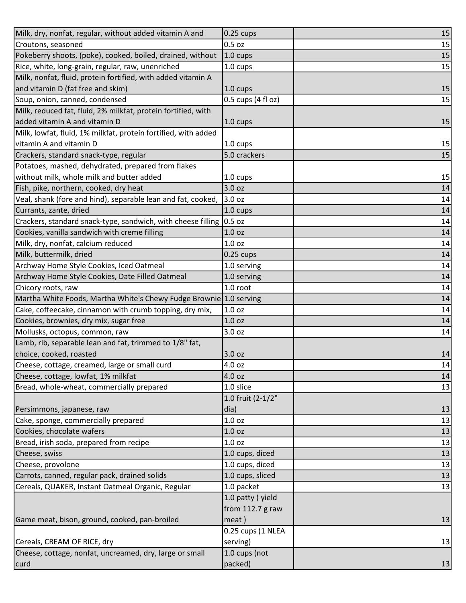| Milk, dry, nonfat, regular, without added vitamin A and            | $0.25$ cups        | 15 |
|--------------------------------------------------------------------|--------------------|----|
| Croutons, seasoned                                                 | $0.5$ oz           | 15 |
| Pokeberry shoots, (poke), cooked, boiled, drained, without         | 1.0 cups           | 15 |
| Rice, white, long-grain, regular, raw, unenriched                  | 1.0 cups           | 15 |
| Milk, nonfat, fluid, protein fortified, with added vitamin A       |                    |    |
| and vitamin D (fat free and skim)                                  | 1.0 cups           | 15 |
| Soup, onion, canned, condensed                                     | 0.5 cups (4 fl oz) | 15 |
| Milk, reduced fat, fluid, 2% milkfat, protein fortified, with      |                    |    |
| added vitamin A and vitamin D                                      | 1.0 cups           | 15 |
| Milk, lowfat, fluid, 1% milkfat, protein fortified, with added     |                    |    |
| vitamin A and vitamin D                                            | 1.0 cups           | 15 |
| Crackers, standard snack-type, regular                             | 5.0 crackers       | 15 |
| Potatoes, mashed, dehydrated, prepared from flakes                 |                    |    |
| without milk, whole milk and butter added                          | 1.0 cups           | 15 |
| Fish, pike, northern, cooked, dry heat                             | 3.0 oz             | 14 |
| Veal, shank (fore and hind), separable lean and fat, cooked,       | 3.0 oz             | 14 |
| Currants, zante, dried                                             | 1.0 cups           | 14 |
| Crackers, standard snack-type, sandwich, with cheese filling       | $0.5$ oz           | 14 |
| Cookies, vanilla sandwich with creme filling                       | 1.0 <sub>oz</sub>  | 14 |
| Milk, dry, nonfat, calcium reduced                                 | 1.0 <sub>oz</sub>  | 14 |
| Milk, buttermilk, dried                                            | $0.25$ cups        | 14 |
| Archway Home Style Cookies, Iced Oatmeal                           | 1.0 serving        | 14 |
| Archway Home Style Cookies, Date Filled Oatmeal                    | 1.0 serving        | 14 |
| Chicory roots, raw                                                 | 1.0 root           | 14 |
| Martha White Foods, Martha White's Chewy Fudge Brownie 1.0 serving |                    | 14 |
| Cake, coffeecake, cinnamon with crumb topping, dry mix,            | 1.0 <sub>oz</sub>  | 14 |
| Cookies, brownies, dry mix, sugar free                             | 1.0 <sub>oz</sub>  | 14 |
| Mollusks, octopus, common, raw                                     | 3.0 oz             | 14 |
| Lamb, rib, separable lean and fat, trimmed to 1/8" fat,            |                    |    |
| choice, cooked, roasted                                            | 3.0 oz             | 14 |
| Cheese, cottage, creamed, large or small curd                      | 4.0 oz             | 14 |
| Cheese, cottage, lowfat, 1% milkfat                                | 4.0 oz             | 14 |
| Bread, whole-wheat, commercially prepared                          | 1.0 slice          | 13 |
|                                                                    | 1.0 fruit (2-1/2"  |    |
| Persimmons, japanese, raw                                          | dia)               | 13 |
| Cake, sponge, commercially prepared                                | 1.0 <sub>oz</sub>  | 13 |
| Cookies, chocolate wafers                                          | 1.0 <sub>oz</sub>  | 13 |
| Bread, irish soda, prepared from recipe                            | 1.0 <sub>oz</sub>  | 13 |
| Cheese, swiss                                                      | 1.0 cups, diced    | 13 |
| Cheese, provolone                                                  | 1.0 cups, diced    | 13 |
| Carrots, canned, regular pack, drained solids                      | 1.0 cups, sliced   | 13 |
| Cereals, QUAKER, Instant Oatmeal Organic, Regular                  | 1.0 packet         | 13 |
|                                                                    | 1.0 patty (yield   |    |
|                                                                    | from $112.7$ g raw |    |
| Game meat, bison, ground, cooked, pan-broiled                      | meat)              | 13 |
|                                                                    | 0.25 cups (1 NLEA  |    |
| Cereals, CREAM OF RICE, dry                                        | serving)           | 13 |
| Cheese, cottage, nonfat, uncreamed, dry, large or small            | 1.0 cups (not      |    |
| curd                                                               | packed)            | 13 |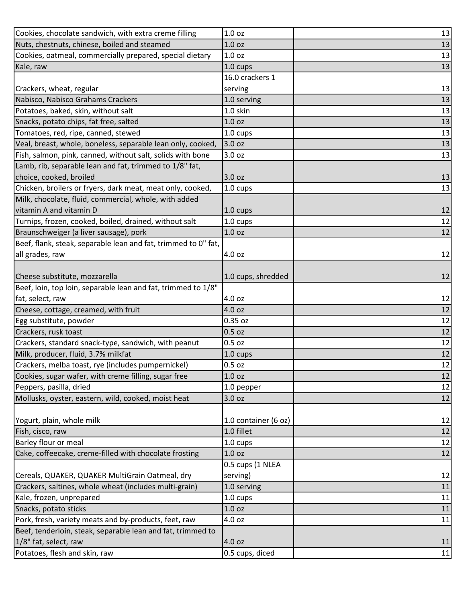| Cookies, chocolate sandwich, with extra creme filling          | 1.0 <sub>oz</sub>    | 13 |
|----------------------------------------------------------------|----------------------|----|
| Nuts, chestnuts, chinese, boiled and steamed                   | 1.0 <sub>oz</sub>    | 13 |
| Cookies, oatmeal, commercially prepared, special dietary       | 1.0 <sub>oz</sub>    | 13 |
| Kale, raw                                                      | 1.0 cups             | 13 |
|                                                                | 16.0 crackers 1      |    |
| Crackers, wheat, regular                                       | serving              | 13 |
| Nabisco, Nabisco Grahams Crackers                              | 1.0 serving          | 13 |
| Potatoes, baked, skin, without salt                            | 1.0 skin             | 13 |
| Snacks, potato chips, fat free, salted                         | 1.0 <sub>oz</sub>    | 13 |
| Tomatoes, red, ripe, canned, stewed                            | 1.0 cups             | 13 |
| Veal, breast, whole, boneless, separable lean only, cooked,    | 3.0 oz               | 13 |
| Fish, salmon, pink, canned, without salt, solids with bone     | 3.0 oz               | 13 |
| Lamb, rib, separable lean and fat, trimmed to 1/8" fat,        |                      |    |
| choice, cooked, broiled                                        | 3.0 oz               | 13 |
| Chicken, broilers or fryers, dark meat, meat only, cooked,     | $1.0 \text{ cups}$   | 13 |
| Milk, chocolate, fluid, commercial, whole, with added          |                      |    |
| vitamin A and vitamin D                                        | $1.0 \text{ cups}$   | 12 |
| Turnips, frozen, cooked, boiled, drained, without salt         | 1.0 cups             | 12 |
| Braunschweiger (a liver sausage), pork                         | 1.0 <sub>oz</sub>    | 12 |
| Beef, flank, steak, separable lean and fat, trimmed to 0" fat, |                      |    |
| all grades, raw                                                | 4.0 oz               | 12 |
|                                                                |                      |    |
| Cheese substitute, mozzarella                                  | 1.0 cups, shredded   | 12 |
| Beef, loin, top loin, separable lean and fat, trimmed to 1/8"  |                      |    |
| fat, select, raw                                               | 4.0 oz               | 12 |
| Cheese, cottage, creamed, with fruit                           | 4.0 oz               | 12 |
| Egg substitute, powder                                         | 0.35 oz              | 12 |
| Crackers, rusk toast                                           | $0.5$ oz             | 12 |
| Crackers, standard snack-type, sandwich, with peanut           | $0.5$ oz             | 12 |
| Milk, producer, fluid, 3.7% milkfat                            | $1.0 \text{ cups}$   | 12 |
| Crackers, melba toast, rye (includes pumpernickel)             | 0.5 oz               | 12 |
| Cookies, sugar wafer, with creme filling, sugar free           | 1.0 <sub>oz</sub>    | 12 |
| Peppers, pasilla, dried                                        | 1.0 pepper           | 12 |
| Mollusks, oyster, eastern, wild, cooked, moist heat            | 3.0 oz               | 12 |
|                                                                |                      |    |
| Yogurt, plain, whole milk                                      | 1.0 container (6 oz) | 12 |
| Fish, cisco, raw                                               | 1.0 fillet           | 12 |
| Barley flour or meal                                           | 1.0 cups             | 12 |
| Cake, coffeecake, creme-filled with chocolate frosting         | 1.0 <sub>oz</sub>    | 12 |
|                                                                | 0.5 cups (1 NLEA     |    |
| Cereals, QUAKER, QUAKER MultiGrain Oatmeal, dry                | serving)             | 12 |
| Crackers, saltines, whole wheat (includes multi-grain)         | 1.0 serving          | 11 |
| Kale, frozen, unprepared                                       | 1.0 cups             | 11 |
| Snacks, potato sticks                                          | 1.0 oz               | 11 |
| Pork, fresh, variety meats and by-products, feet, raw          | 4.0 oz               | 11 |
| Beef, tenderloin, steak, separable lean and fat, trimmed to    |                      |    |
| 1/8" fat, select, raw                                          | 4.0 oz               | 11 |
| Potatoes, flesh and skin, raw                                  | 0.5 cups, diced      | 11 |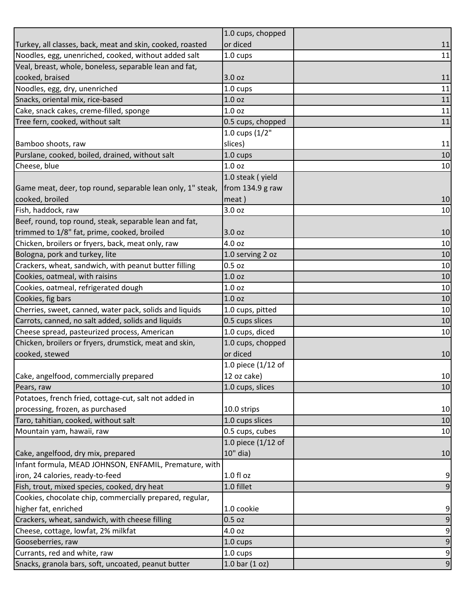|                                                            | 1.0 cups, chopped  |                  |
|------------------------------------------------------------|--------------------|------------------|
| Turkey, all classes, back, meat and skin, cooked, roasted  | or diced           | 11               |
| Noodles, egg, unenriched, cooked, without added salt       | 1.0 cups           | 11               |
| Veal, breast, whole, boneless, separable lean and fat,     |                    |                  |
| cooked, braised                                            | 3.0 oz             | 11               |
| Noodles, egg, dry, unenriched                              | 1.0 cups           | 11               |
| Snacks, oriental mix, rice-based                           | 1.0 <sub>oz</sub>  | 11               |
| Cake, snack cakes, creme-filled, sponge                    | 1.0 <sub>oz</sub>  | 11               |
| Tree fern, cooked, without salt                            | 0.5 cups, chopped  | 11               |
|                                                            | 1.0 cups (1/2"     |                  |
| Bamboo shoots, raw                                         | slices)            | 11               |
| Purslane, cooked, boiled, drained, without salt            | 1.0 cups           | 10               |
| Cheese, blue                                               | 1.0 <sub>oz</sub>  | 10               |
|                                                            | 1.0 steak (yield   |                  |
| Game meat, deer, top round, separable lean only, 1" steak, | from $134.9$ g raw |                  |
| cooked, broiled                                            | meat)              | 10               |
| Fish, haddock, raw                                         | 3.0 oz             | 10               |
| Beef, round, top round, steak, separable lean and fat,     |                    |                  |
| trimmed to 1/8" fat, prime, cooked, broiled                | 3.0 oz             | 10               |
| Chicken, broilers or fryers, back, meat only, raw          | 4.0 oz             | 10               |
| Bologna, pork and turkey, lite                             | 1.0 serving 2 oz   | 10               |
| Crackers, wheat, sandwich, with peanut butter filling      | 0.5 oz             | 10               |
| Cookies, oatmeal, with raisins                             | 1.0 <sub>oz</sub>  | 10               |
| Cookies, oatmeal, refrigerated dough                       | 1.0 <sub>oz</sub>  | 10               |
| Cookies, fig bars                                          | 1.0 <sub>oz</sub>  | 10               |
| Cherries, sweet, canned, water pack, solids and liquids    | 1.0 cups, pitted   | 10               |
| Carrots, canned, no salt added, solids and liquids         | 0.5 cups slices    | 10               |
| Cheese spread, pasteurized process, American               | 1.0 cups, diced    | 10               |
| Chicken, broilers or fryers, drumstick, meat and skin,     | 1.0 cups, chopped  |                  |
| cooked, stewed                                             | or diced           | 10               |
|                                                            | 1.0 piece (1/12 of |                  |
| Cake, angelfood, commercially prepared                     | 12 oz cake)        | $10\,$           |
| Pears, raw                                                 | 1.0 cups, slices   | 10               |
| Potatoes, french fried, cottage-cut, salt not added in     |                    |                  |
| processing, frozen, as purchased                           | 10.0 strips        | 10               |
| Taro, tahitian, cooked, without salt                       | 1.0 cups slices    | 10               |
| Mountain yam, hawaii, raw                                  | 0.5 cups, cubes    | 10               |
|                                                            | 1.0 piece (1/12 of |                  |
| Cake, angelfood, dry mix, prepared                         | 10" dia)           | 10               |
| Infant formula, MEAD JOHNSON, ENFAMIL, Premature, with     |                    |                  |
| iron, 24 calories, ready-to-feed                           | 1.0 fl oz          | 9                |
| Fish, trout, mixed species, cooked, dry heat               | 1.0 fillet         | $\overline{9}$   |
| Cookies, chocolate chip, commercially prepared, regular,   |                    |                  |
| higher fat, enriched                                       | 1.0 cookie         | $\boldsymbol{9}$ |
| Crackers, wheat, sandwich, with cheese filling             | $0.5$ oz           | $\boldsymbol{9}$ |
| Cheese, cottage, lowfat, 2% milkfat                        | 4.0 oz             | $\boldsymbol{9}$ |
| Gooseberries, raw                                          | 1.0 cups           | $\boldsymbol{9}$ |
| Currants, red and white, raw                               | 1.0 cups           | $\boldsymbol{9}$ |
| Snacks, granola bars, soft, uncoated, peanut butter        | $1.0$ bar $(1$ oz) | $\boldsymbol{9}$ |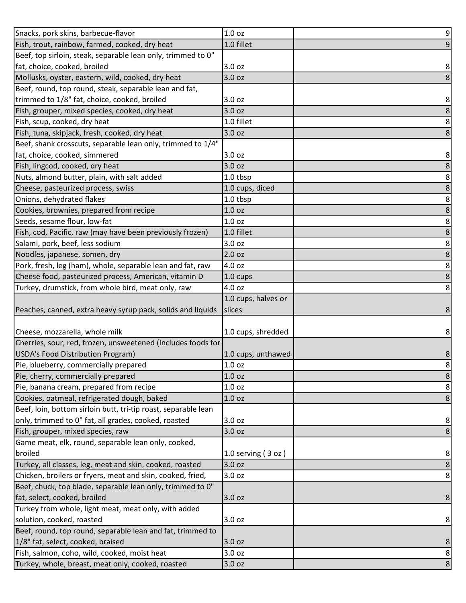| Snacks, pork skins, barbecue-flavor                                                               | 1.0 <sub>oz</sub>    | 9              |
|---------------------------------------------------------------------------------------------------|----------------------|----------------|
| Fish, trout, rainbow, farmed, cooked, dry heat                                                    | 1.0 fillet           | 9              |
| Beef, top sirloin, steak, separable lean only, trimmed to 0"                                      |                      |                |
| fat, choice, cooked, broiled                                                                      | 3.0 oz               | 8              |
| Mollusks, oyster, eastern, wild, cooked, dry heat                                                 | 3.0 <sub>oz</sub>    |                |
| Beef, round, top round, steak, separable lean and fat,                                            |                      |                |
| trimmed to 1/8" fat, choice, cooked, broiled                                                      | 3.0 oz               | 8              |
| Fish, grouper, mixed species, cooked, dry heat                                                    | 3.0 oz               | 8              |
| Fish, scup, cooked, dry heat                                                                      | 1.0 fillet           | 8              |
| Fish, tuna, skipjack, fresh, cooked, dry heat                                                     | 3.0 oz               | 8              |
| Beef, shank crosscuts, separable lean only, trimmed to 1/4"                                       |                      |                |
| fat, choice, cooked, simmered                                                                     | 3.0 oz               | 8              |
| Fish, lingcod, cooked, dry heat                                                                   | 3.0 <sub>oz</sub>    | 8              |
| Nuts, almond butter, plain, with salt added                                                       | 1.0 tbsp             | 8              |
| Cheese, pasteurized process, swiss                                                                | 1.0 cups, diced      | 8              |
| Onions, dehydrated flakes                                                                         | 1.0 tbsp             | 8              |
| Cookies, brownies, prepared from recipe                                                           | 1.0 <sub>oz</sub>    | 8              |
| Seeds, sesame flour, low-fat                                                                      | 1.0 <sub>oz</sub>    | 8              |
| Fish, cod, Pacific, raw (may have been previously frozen)                                         | 1.0 fillet           | 8              |
| Salami, pork, beef, less sodium                                                                   | 3.0 oz               | 8              |
| Noodles, japanese, somen, dry                                                                     | 2.0 <sub>oz</sub>    | 8              |
| Pork, fresh, leg (ham), whole, separable lean and fat, raw                                        | 4.0 oz               | 8              |
| Cheese food, pasteurized process, American, vitamin D                                             | 1.0 cups             | 8              |
| Turkey, drumstick, from whole bird, meat only, raw                                                | 4.0 oz               | 8              |
|                                                                                                   | 1.0 cups, halves or  |                |
|                                                                                                   |                      |                |
| Peaches, canned, extra heavy syrup pack, solids and liquids                                       | slices               | 8              |
|                                                                                                   |                      |                |
| Cheese, mozzarella, whole milk                                                                    | 1.0 cups, shredded   | 8              |
| Cherries, sour, red, frozen, unsweetened (Includes foods for                                      |                      |                |
| USDA's Food Distribution Program)                                                                 | 1.0 cups, unthawed   | 8              |
| Pie, blueberry, commercially prepared                                                             | 1.0 <sub>oz</sub>    | 8 <sup>1</sup> |
| Pie, cherry, commercially prepared                                                                | 1.0 <sub>oz</sub>    | 8              |
| Pie, banana cream, prepared from recipe                                                           | 1.0 <sub>oz</sub>    | 8              |
| Cookies, oatmeal, refrigerated dough, baked                                                       | 1.0 <sub>oz</sub>    | 8              |
| Beef, loin, bottom sirloin butt, tri-tip roast, separable lean                                    |                      |                |
| only, trimmed to 0" fat, all grades, cooked, roasted                                              | 3.0 oz               | 8              |
| Fish, grouper, mixed species, raw                                                                 | 3.0 oz               | 8              |
| Game meat, elk, round, separable lean only, cooked,                                               |                      |                |
| broiled                                                                                           | 1.0 serving $(3 oz)$ | 8              |
| Turkey, all classes, leg, meat and skin, cooked, roasted                                          | 3.0 oz               | 8              |
| Chicken, broilers or fryers, meat and skin, cooked, fried,                                        | 3.0 oz               | 8              |
| Beef, chuck, top blade, separable lean only, trimmed to 0"                                        |                      |                |
| fat, select, cooked, broiled                                                                      | 3.0 oz               | 8              |
| Turkey from whole, light meat, meat only, with added                                              |                      |                |
| solution, cooked, roasted                                                                         | 3.0 oz               | 8              |
| Beef, round, top round, separable lean and fat, trimmed to                                        |                      |                |
| 1/8" fat, select, cooked, braised                                                                 | 3.0 oz               | 8              |
| Fish, salmon, coho, wild, cooked, moist heat<br>Turkey, whole, breast, meat only, cooked, roasted | 3.0 oz<br>3.0 oz     | 8<br>8         |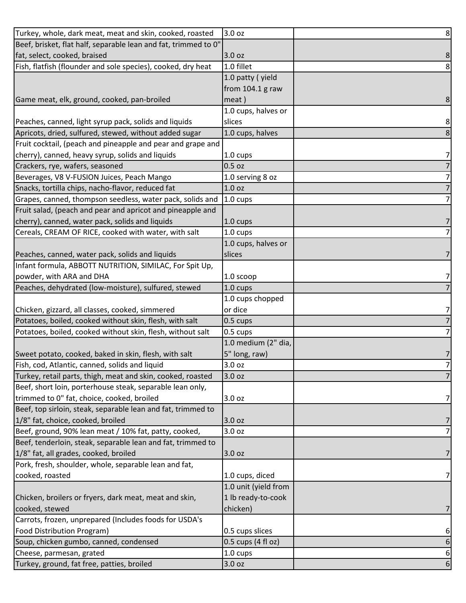| Turkey, whole, dark meat, meat and skin, cooked, roasted                                   | 3.0 oz               | 8 <sup>1</sup>      |
|--------------------------------------------------------------------------------------------|----------------------|---------------------|
| Beef, brisket, flat half, separable lean and fat, trimmed to 0"                            |                      |                     |
| fat, select, cooked, braised                                                               | 3.0 oz               | 8                   |
| Fish, flatfish (flounder and sole species), cooked, dry heat                               | 1.0 fillet           | 8                   |
|                                                                                            | 1.0 patty (yield     |                     |
|                                                                                            | from $104.1$ g raw   |                     |
| Game meat, elk, ground, cooked, pan-broiled                                                | meat)                | 8                   |
|                                                                                            | 1.0 cups, halves or  |                     |
| Peaches, canned, light syrup pack, solids and liquids                                      | slices               | 8                   |
| Apricots, dried, sulfured, stewed, without added sugar                                     | 1.0 cups, halves     | 8                   |
| Fruit cocktail, (peach and pineapple and pear and grape and                                |                      |                     |
| cherry), canned, heavy syrup, solids and liquids                                           | 1.0 cups             | 7                   |
| Crackers, rye, wafers, seasoned                                                            | $0.5$ oz             | 7                   |
| Beverages, V8 V-FUSION Juices, Peach Mango                                                 | 1.0 serving 8 oz     | 7                   |
| Snacks, tortilla chips, nacho-flavor, reduced fat                                          | 1.0 <sub>oz</sub>    | 7                   |
| Grapes, canned, thompson seedless, water pack, solids and                                  | 1.0 cups             | 7                   |
| Fruit salad, (peach and pear and apricot and pineapple and                                 |                      |                     |
| cherry), canned, water pack, solids and liquids                                            | 1.0 cups             | 7                   |
| Cereals, CREAM OF RICE, cooked with water, with salt                                       | 1.0 cups             |                     |
|                                                                                            | 1.0 cups, halves or  |                     |
| Peaches, canned, water pack, solids and liquids                                            | slices               | 7                   |
| Infant formula, ABBOTT NUTRITION, SIMILAC, For Spit Up,                                    |                      |                     |
| powder, with ARA and DHA                                                                   | 1.0 scoop            | 71                  |
| Peaches, dehydrated (low-moisture), sulfured, stewed                                       | $1.0 \text{ cups}$   |                     |
|                                                                                            | 1.0 cups chopped     |                     |
| Chicken, gizzard, all classes, cooked, simmered                                            | or dice              | 7                   |
| Potatoes, boiled, cooked without skin, flesh, with salt                                    | $0.5 \text{ cups}$   | 7                   |
| Potatoes, boiled, cooked without skin, flesh, without salt                                 | 0.5 cups             | 7                   |
|                                                                                            | 1.0 medium (2" dia,  |                     |
| Sweet potato, cooked, baked in skin, flesh, with salt                                      | 5" long, raw)        | 7                   |
| Fish, cod, Atlantic, canned, solids and liquid                                             | 3.0 oz               | $\overline{z}$      |
| Turkey, retail parts, thigh, meat and skin, cooked, roasted                                | 3.0 oz               | 7                   |
| Beef, short loin, porterhouse steak, separable lean only,                                  |                      |                     |
| trimmed to 0" fat, choice, cooked, broiled                                                 | 3.0 oz               | 7                   |
| Beef, top sirloin, steak, separable lean and fat, trimmed to                               |                      |                     |
| 1/8" fat, choice, cooked, broiled<br>Beef, ground, 90% lean meat / 10% fat, patty, cooked, | 3.0 oz<br>3.0 oz     | 7<br>$\overline{7}$ |
| Beef, tenderloin, steak, separable lean and fat, trimmed to                                |                      |                     |
| 1/8" fat, all grades, cooked, broiled                                                      | 3.0 oz               | 7                   |
| Pork, fresh, shoulder, whole, separable lean and fat,                                      |                      |                     |
| cooked, roasted                                                                            | 1.0 cups, diced      | 7                   |
|                                                                                            | 1.0 unit (yield from |                     |
| Chicken, broilers or fryers, dark meat, meat and skin,                                     | 1 lb ready-to-cook   |                     |
| cooked, stewed                                                                             | chicken)             | 7                   |
| Carrots, frozen, unprepared (Includes foods for USDA's                                     |                      |                     |
| Food Distribution Program)                                                                 | 0.5 cups slices      | 6                   |
| Soup, chicken gumbo, canned, condensed                                                     | 0.5 cups (4 fl oz)   | 6                   |
| Cheese, parmesan, grated                                                                   | 1.0 cups             | 6                   |
| Turkey, ground, fat free, patties, broiled                                                 | 3.0 oz               | 6                   |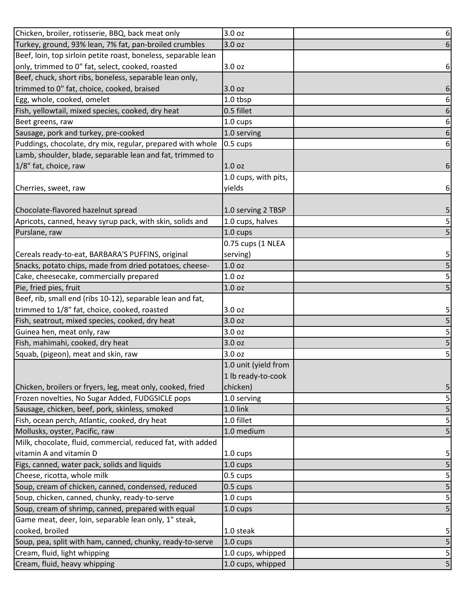| Chicken, broiler, rotisserie, BBQ, back meat only              | 3.0 oz               | 6 |
|----------------------------------------------------------------|----------------------|---|
| Turkey, ground, 93% lean, 7% fat, pan-broiled crumbles         | 3.0 oz               | 6 |
| Beef, loin, top sirloin petite roast, boneless, separable lean |                      |   |
| only, trimmed to 0" fat, select, cooked, roasted               | 3.0 oz               | 6 |
| Beef, chuck, short ribs, boneless, separable lean only,        |                      |   |
| trimmed to 0" fat, choice, cooked, braised                     | 3.0 oz               | 6 |
| Egg, whole, cooked, omelet                                     | 1.0 tbsp             | 6 |
| Fish, yellowtail, mixed species, cooked, dry heat              | 0.5 fillet           | 6 |
| Beet greens, raw                                               | 1.0 cups             | 6 |
| Sausage, pork and turkey, pre-cooked                           | 1.0 serving          | 6 |
| Puddings, chocolate, dry mix, regular, prepared with whole     | 0.5 cups             | 6 |
| Lamb, shoulder, blade, separable lean and fat, trimmed to      |                      |   |
| 1/8" fat, choice, raw                                          | 1.0 oz               | 6 |
|                                                                | 1.0 cups, with pits, |   |
| Cherries, sweet, raw                                           | yields               | 6 |
|                                                                |                      |   |
| Chocolate-flavored hazelnut spread                             | 1.0 serving 2 TBSP   | 5 |
| Apricots, canned, heavy syrup pack, with skin, solids and      | 1.0 cups, halves     | 5 |
| Purslane, raw                                                  | 1.0 cups             | 5 |
|                                                                | 0.75 cups (1 NLEA    |   |
| Cereals ready-to-eat, BARBARA'S PUFFINS, original              | serving)             | 5 |
| Snacks, potato chips, made from dried potatoes, cheese-        | 1.0 <sub>oz</sub>    | 5 |
| Cake, cheesecake, commercially prepared                        | 1.0 <sub>oz</sub>    | 5 |
| Pie, fried pies, fruit                                         | 1.0 <sub>oz</sub>    |   |
| Beef, rib, small end (ribs 10-12), separable lean and fat,     |                      |   |
| trimmed to 1/8" fat, choice, cooked, roasted                   | 3.0 oz               | 5 |
| Fish, seatrout, mixed species, cooked, dry heat                | 3.0 oz               | 5 |
| Guinea hen, meat only, raw                                     | 3.0 oz               | 5 |
| Fish, mahimahi, cooked, dry heat                               | 3.0 oz               | 5 |
| Squab, (pigeon), meat and skin, raw                            | 3.0 oz               | 5 |
|                                                                | 1.0 unit (yield from |   |
|                                                                | 1 lb ready-to-cook   |   |
| Chicken, broilers or fryers, leg, meat only, cooked, fried     | chicken)             | 5 |
| Frozen novelties, No Sugar Added, FUDGSICLE pops               | 1.0 serving          | 5 |
| Sausage, chicken, beef, pork, skinless, smoked                 | 1.0 link             | 5 |
| Fish, ocean perch, Atlantic, cooked, dry heat                  | 1.0 fillet           | 5 |
| Mollusks, oyster, Pacific, raw                                 | 1.0 medium           | 5 |
| Milk, chocolate, fluid, commercial, reduced fat, with added    |                      |   |
| vitamin A and vitamin D                                        | 1.0 cups             | 5 |
| Figs, canned, water pack, solids and liquids                   | 1.0 cups             | 5 |
| Cheese, ricotta, whole milk                                    | 0.5 cups             | 5 |
| Soup, cream of chicken, canned, condensed, reduced             | 0.5 cups             | 5 |
| Soup, chicken, canned, chunky, ready-to-serve                  | 1.0 cups             | 5 |
| Soup, cream of shrimp, canned, prepared with equal             | $1.0 \text{ cups}$   | 5 |
| Game meat, deer, loin, separable lean only, 1" steak,          |                      |   |
| cooked, broiled                                                | 1.0 steak            | 5 |
| Soup, pea, split with ham, canned, chunky, ready-to-serve      | 1.0 cups             | 5 |
| Cream, fluid, light whipping                                   | 1.0 cups, whipped    | 5 |
| Cream, fluid, heavy whipping                                   | 1.0 cups, whipped    | 5 |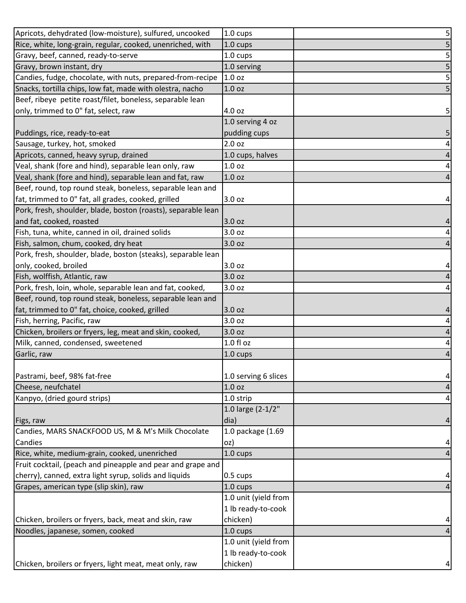| Apricots, dehydrated (low-moisture), sulfured, uncooked       | 1.0 cups             | 5                       |
|---------------------------------------------------------------|----------------------|-------------------------|
| Rice, white, long-grain, regular, cooked, unenriched, with    | 1.0 cups             | 5                       |
| Gravy, beef, canned, ready-to-serve                           | 1.0 cups             | 5                       |
| Gravy, brown instant, dry                                     | 1.0 serving          | 5                       |
| Candies, fudge, chocolate, with nuts, prepared-from-recipe    | 1.0 <sub>oz</sub>    | 5                       |
| Snacks, tortilla chips, low fat, made with olestra, nacho     | 1.0 <sub>oz</sub>    | 5                       |
| Beef, ribeye petite roast/filet, boneless, separable lean     |                      |                         |
| only, trimmed to 0" fat, select, raw                          | 4.0 oz               | 5                       |
|                                                               | 1.0 serving 4 oz     |                         |
| Puddings, rice, ready-to-eat                                  | pudding cups         | 5                       |
| Sausage, turkey, hot, smoked                                  | 2.0 oz               | 4                       |
| Apricots, canned, heavy syrup, drained                        | 1.0 cups, halves     | $\overline{a}$          |
| Veal, shank (fore and hind), separable lean only, raw         | 1.0 <sub>oz</sub>    | 4                       |
| Veal, shank (fore and hind), separable lean and fat, raw      | 1.0 <sub>oz</sub>    | 4                       |
| Beef, round, top round steak, boneless, separable lean and    |                      |                         |
| fat, trimmed to 0" fat, all grades, cooked, grilled           | 3.0 oz               | 4                       |
| Pork, fresh, shoulder, blade, boston (roasts), separable lean |                      |                         |
| and fat, cooked, roasted                                      | 3.0 oz               | 4                       |
| Fish, tuna, white, canned in oil, drained solids              | 3.0 oz               | 4                       |
| Fish, salmon, chum, cooked, dry heat                          | 3.0 oz               | 4                       |
| Pork, fresh, shoulder, blade, boston (steaks), separable lean |                      |                         |
| only, cooked, broiled                                         | 3.0 oz               | 4                       |
| Fish, wolffish, Atlantic, raw                                 | 3.0 oz               | 4                       |
| Pork, fresh, loin, whole, separable lean and fat, cooked,     | 3.0 oz               | 4                       |
| Beef, round, top round steak, boneless, separable lean and    |                      |                         |
| fat, trimmed to 0" fat, choice, cooked, grilled               | 3.0 oz               | 4                       |
| Fish, herring, Pacific, raw                                   | 3.0 oz               | 4                       |
| Chicken, broilers or fryers, leg, meat and skin, cooked,      | 3.0 oz               | 4                       |
| Milk, canned, condensed, sweetened                            | $1.0 f$ l oz         | 4                       |
| Garlic, raw                                                   | 1.0 cups             | $\overline{a}$          |
|                                                               |                      |                         |
| Pastrami, beef, 98% fat-free                                  | 1.0 serving 6 slices | $\overline{\mathbf{r}}$ |
| Cheese, neufchatel                                            | 1.0 <sub>oz</sub>    | 4                       |
| Kanpyo, (dried gourd strips)                                  | 1.0 strip            | 4                       |
|                                                               | 1.0 large (2-1/2"    |                         |
| Figs, raw                                                     | dia)                 | 4                       |
| Candies, MARS SNACKFOOD US, M & M's Milk Chocolate            | 1.0 package (1.69    |                         |
| Candies                                                       | oz)                  | 4                       |
| Rice, white, medium-grain, cooked, unenriched                 | $1.0 \text{ cups}$   | 4                       |
| Fruit cocktail, (peach and pineapple and pear and grape and   |                      |                         |
| cherry), canned, extra light syrup, solids and liquids        | $0.5 \text{ cups}$   | 4                       |
| Grapes, american type (slip skin), raw                        | 1.0 cups             | 4                       |
|                                                               | 1.0 unit (yield from |                         |
|                                                               | 1 lb ready-to-cook   |                         |
| Chicken, broilers or fryers, back, meat and skin, raw         | chicken)             | 4                       |
| Noodles, japanese, somen, cooked                              | 1.0 cups             | 4                       |
|                                                               | 1.0 unit (yield from |                         |
|                                                               | 1 lb ready-to-cook   |                         |
| Chicken, broilers or fryers, light meat, meat only, raw       | chicken)             | 4                       |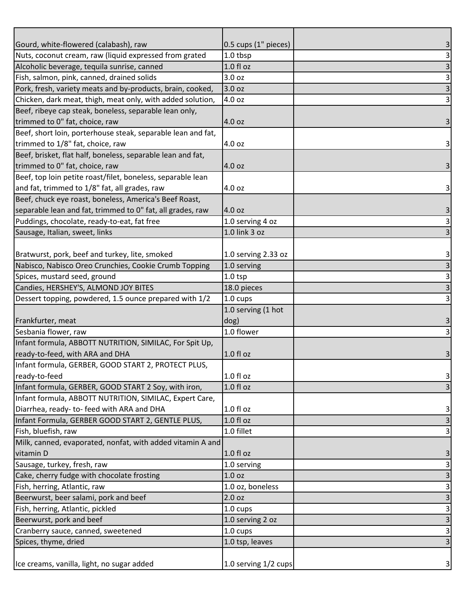| Gourd, white-flowered (calabash), raw                          | 0.5 cups (1" pieces) | 3                         |
|----------------------------------------------------------------|----------------------|---------------------------|
| Nuts, coconut cream, raw (liquid expressed from grated         | 1.0 tbsp             | $\vert$ 3                 |
| Alcoholic beverage, tequila sunrise, canned                    | 1.0 f1 oz            | $\mathsf 3$               |
| Fish, salmon, pink, canned, drained solids                     | 3.0 oz               | $\overline{\mathbf{3}}$   |
| Pork, fresh, variety meats and by-products, brain, cooked,     | 3.0 oz               | $\overline{\mathbf{3}}$   |
| Chicken, dark meat, thigh, meat only, with added solution,     | 4.0 oz               | $\vert$ 3                 |
| Beef, ribeye cap steak, boneless, separable lean only,         |                      |                           |
| trimmed to 0" fat, choice, raw                                 | 4.0 oz               | 3 <sup>1</sup>            |
| Beef, short loin, porterhouse steak, separable lean and fat,   |                      |                           |
| trimmed to 1/8" fat, choice, raw                               | 4.0 oz               | $\vert$ 3                 |
| Beef, brisket, flat half, boneless, separable lean and fat,    |                      |                           |
| trimmed to 0" fat, choice, raw                                 | 4.0 oz               | 3 <sup>1</sup>            |
| Beef, top loin petite roast/filet, boneless, separable lean    |                      |                           |
| and fat, trimmed to 1/8" fat, all grades, raw                  | 4.0 oz               | $\vert$ 3                 |
| Beef, chuck eye roast, boneless, America's Beef Roast,         |                      |                           |
| separable lean and fat, trimmed to 0" fat, all grades, raw     | 4.0 oz               | $\mathbf{3}$              |
| Puddings, chocolate, ready-to-eat, fat free                    | 1.0 serving 4 oz     | $\vert$ 3                 |
| Sausage, Italian, sweet, links                                 | 1.0 link 3 oz        | $\overline{3}$            |
|                                                                |                      |                           |
| Bratwurst, pork, beef and turkey, lite, smoked                 | 1.0 serving 2.33 oz  | 3                         |
| Nabisco, Nabisco Oreo Crunchies, Cookie Crumb Topping          | 1.0 serving          | $\overline{\mathbf{3}}$   |
| Spices, mustard seed, ground                                   | $1.0$ tsp            | $\mathbf{3}$              |
| Candies, HERSHEY'S, ALMOND JOY BITES                           | 18.0 pieces          | $\overline{3}$            |
| Dessert topping, powdered, 1.5 ounce prepared with 1/2         | 1.0 cups             | $\vert$ 3                 |
|                                                                | 1.0 serving (1 hot   |                           |
| Frankfurter, meat                                              | dog)                 | $\overline{\mathbf{3}}$   |
| Sesbania flower, raw                                           | 1.0 flower           | $\overline{3}$            |
| Infant formula, ABBOTT NUTRITION, SIMILAC, For Spit Up,        |                      |                           |
| ready-to-feed, with ARA and DHA                                | 1.0 fl oz            | 3                         |
| Infant formula, GERBER, GOOD START 2, PROTECT PLUS,            |                      |                           |
| ready-to-feed                                                  | 1.0 f1 oz            | $\vert$ 3                 |
| Infant formula, GERBER, GOOD START 2 Soy, with iron,           | $1.0 f$ l oz         | $\overline{\mathbf{3}}$   |
| Infant formula, ABBOTT NUTRITION, SIMILAC, Expert Care,        |                      |                           |
| Diarrhea, ready- to-feed with ARA and DHA                      | 1.0 f1 oz            | $\mathbf{3}$              |
| Infant Formula, GERBER GOOD START 2, GENTLE PLUS,              | 1.0 f1 oz            | $\overline{3}$            |
| Fish, bluefish, raw                                            | 1.0 fillet           | $\vert$ 3                 |
| Milk, canned, evaporated, nonfat, with added vitamin A and     |                      |                           |
| vitamin D                                                      | $1.0 f$ l oz         | 3                         |
| Sausage, turkey, fresh, raw                                    | 1.0 serving          |                           |
| Cake, cherry fudge with chocolate frosting                     |                      | 3                         |
|                                                                | 1.0 <sub>oz</sub>    | $\overline{\mathbf{3}}$   |
| Fish, herring, Atlantic, raw                                   | 1.0 oz, boneless     | $\mathsf 3$               |
| Beerwurst, beer salami, pork and beef                          | 2.0 oz               | $\overline{\mathbf{3}}$   |
| Fish, herring, Atlantic, pickled                               | 1.0 cups             | $\ensuremath{\mathsf{3}}$ |
|                                                                | 1.0 serving 2 oz     | $\mathsf 3$               |
| Beerwurst, pork and beef<br>Cranberry sauce, canned, sweetened | 1.0 cups             | $\mathbf{3}$              |
| Spices, thyme, dried                                           | 1.0 tsp, leaves      | $\overline{3}$            |
|                                                                |                      |                           |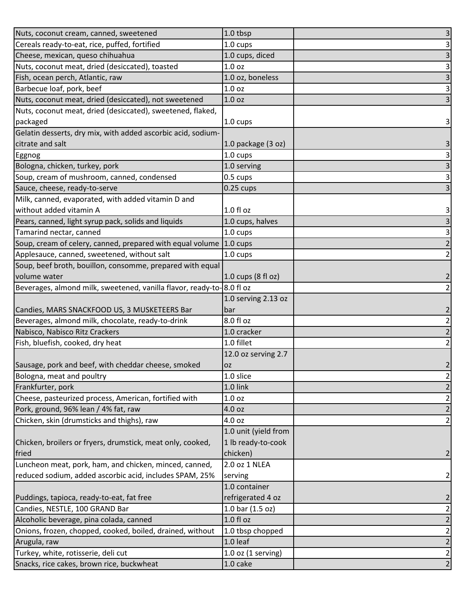| Nuts, coconut cream, canned, sweetened                                 | 1.0 tbsp             | $\overline{\mathbf{3}}$   |
|------------------------------------------------------------------------|----------------------|---------------------------|
| Cereals ready-to-eat, rice, puffed, fortified                          | 1.0 cups             | $\mathbf{3}$              |
| Cheese, mexican, queso chihuahua                                       | 1.0 cups, diced      | $\overline{3}$            |
| Nuts, coconut meat, dried (desiccated), toasted                        | 1.0 <sub>oz</sub>    | $\overline{3}$            |
| Fish, ocean perch, Atlantic, raw                                       | 1.0 oz, boneless     | $\overline{\mathbf{3}}$   |
| Barbecue loaf, pork, beef                                              | 1.0 <sub>oz</sub>    | $\frac{3}{3}$             |
| Nuts, coconut meat, dried (desiccated), not sweetened                  | 1.0 <sub>oz</sub>    |                           |
| Nuts, coconut meat, dried (desiccated), sweetened, flaked,             |                      |                           |
| packaged                                                               | 1.0 cups             | $\vert$ 3                 |
| Gelatin desserts, dry mix, with added ascorbic acid, sodium-           |                      |                           |
| citrate and salt                                                       | 1.0 package (3 oz)   | $\mathbf{3}$              |
| Eggnog                                                                 | 1.0 cups             | $\ensuremath{\mathsf{3}}$ |
| Bologna, chicken, turkey, pork                                         | 1.0 serving          |                           |
| Soup, cream of mushroom, canned, condensed                             | 0.5 cups             | $\frac{1}{3}$             |
| Sauce, cheese, ready-to-serve                                          | $0.25$ cups          | $\overline{\mathbf{3}}$   |
| Milk, canned, evaporated, with added vitamin D and                     |                      |                           |
| without added vitamin A                                                | 1.0 f1 oz            | $\vert$ 3                 |
| Pears, canned, light syrup pack, solids and liquids                    | 1.0 cups, halves     | $\overline{3}$            |
| Tamarind nectar, canned                                                | 1.0 cups             | $\overline{3}$            |
| Soup, cream of celery, canned, prepared with equal volume              | $1.0 \text{ cups}$   | $\overline{2}$            |
| Applesauce, canned, sweetened, without salt                            | 1.0 cups             | $\overline{2}$            |
| Soup, beef broth, bouillon, consomme, prepared with equal              |                      |                           |
| volume water                                                           | 1.0 cups (8 fl oz)   | $\overline{2}$            |
| Beverages, almond milk, sweetened, vanilla flavor, ready-to-88.0 fl oz |                      | $\overline{2}$            |
|                                                                        | 1.0 serving 2.13 oz  |                           |
| Candies, MARS SNACKFOOD US, 3 MUSKETEERS Bar                           | bar                  | $\mathbf{2}$              |
| Beverages, almond milk, chocolate, ready-to-drink                      | 8.0 fl oz            |                           |
| Nabisco, Nabisco Ritz Crackers                                         | 1.0 cracker          | $\frac{2}{2}$             |
| Fish, bluefish, cooked, dry heat                                       | 1.0 fillet           | $\mathbf{2}$              |
|                                                                        | 12.0 oz serving 2.7  |                           |
| Sausage, pork and beef, with cheddar cheese, smoked                    | <b>OZ</b>            | $\overline{2}$            |
| Bologna, meat and poultry                                              | 1.0 slice            | $\overline{\mathbf{c}}$   |
| Frankfurter, pork                                                      | 1.0 link             | $\overline{2}$            |
| Cheese, pasteurized process, American, fortified with                  | 1.0 <sub>oz</sub>    | $\mathbf{2}$              |
| Pork, ground, 96% lean / 4% fat, raw                                   | 4.0 oz               | $\overline{2}$            |
| Chicken, skin (drumsticks and thighs), raw                             | 4.0 oz               | $\overline{2}$            |
|                                                                        | 1.0 unit (yield from |                           |
| Chicken, broilers or fryers, drumstick, meat only, cooked,             | 1 lb ready-to-cook   |                           |
| fried                                                                  | chicken)             | $\overline{2}$            |
| Luncheon meat, pork, ham, and chicken, minced, canned,                 | 2.0 oz 1 NLEA        |                           |
| reduced sodium, added ascorbic acid, includes SPAM, 25%                | serving              | $\mathbf{2}$              |
|                                                                        | 1.0 container        |                           |
| Puddings, tapioca, ready-to-eat, fat free                              | refrigerated 4 oz    | $\overline{2}$            |
| Candies, NESTLE, 100 GRAND Bar                                         | 1.0 bar (1.5 oz)     | $\overline{2}$            |
| Alcoholic beverage, pina colada, canned                                | 1.0 fl oz            | $\overline{2}$            |
| Onions, frozen, chopped, cooked, boiled, drained, without              | 1.0 tbsp chopped     | $\mathbf{2}$              |
| Arugula, raw                                                           | 1.0 leaf             | $\overline{2}$            |
| Turkey, white, rotisserie, deli cut                                    | $1.0$ oz (1 serving) | $\mathbf{2}$              |
| Snacks, rice cakes, brown rice, buckwheat                              | 1.0 cake             | $\overline{2}$            |
|                                                                        |                      |                           |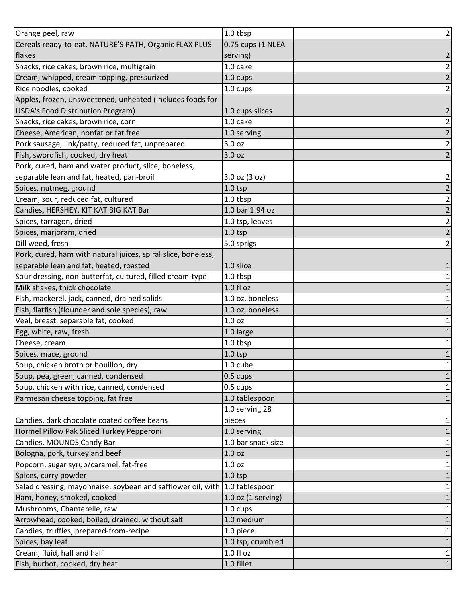| Orange peel, raw                                              | 1.0 tbsp               | $\overline{2}$          |
|---------------------------------------------------------------|------------------------|-------------------------|
| Cereals ready-to-eat, NATURE'S PATH, Organic FLAX PLUS        | 0.75 cups (1 NLEA      |                         |
| flakes                                                        | serving)               | 2                       |
| Snacks, rice cakes, brown rice, multigrain                    | 1.0 cake               | $\overline{c}$          |
| Cream, whipped, cream topping, pressurized                    | 1.0 cups               | $\overline{2}$          |
| Rice noodles, cooked                                          | 1.0 cups               | 2                       |
| Apples, frozen, unsweetened, unheated (Includes foods for     |                        |                         |
| USDA's Food Distribution Program)                             | 1.0 cups slices        | $\overline{2}$          |
| Snacks, rice cakes, brown rice, corn                          | 1.0 cake               | $\overline{c}$          |
| Cheese, American, nonfat or fat free                          | 1.0 serving            | $\overline{2}$          |
| Pork sausage, link/patty, reduced fat, unprepared             | 3.0 oz                 | $\overline{c}$          |
| Fish, swordfish, cooked, dry heat                             | 3.0 oz                 |                         |
| Pork, cured, ham and water product, slice, boneless,          |                        |                         |
| separable lean and fat, heated, pan-broil                     | 3.0 oz (3 oz)          | 2                       |
| Spices, nutmeg, ground                                        | $1.0$ tsp              | $\overline{2}$          |
| Cream, sour, reduced fat, cultured                            | 1.0 tbsp               | $\overline{c}$          |
| Candies, HERSHEY, KIT KAT BIG KAT Bar                         | 1.0 bar 1.94 oz        | 2                       |
| Spices, tarragon, dried                                       | 1.0 tsp, leaves        | $\overline{\mathbf{c}}$ |
| Spices, marjoram, dried                                       | $1.0$ tsp              | $\overline{2}$          |
| Dill weed, fresh                                              | 5.0 sprigs             | 2                       |
| Pork, cured, ham with natural juices, spiral slice, boneless, |                        |                         |
| separable lean and fat, heated, roasted                       | 1.0 slice              |                         |
| Sour dressing, non-butterfat, cultured, filled cream-type     | 1.0 tbsp               |                         |
| Milk shakes, thick chocolate                                  | 1.0 f1 oz              |                         |
| Fish, mackerel, jack, canned, drained solids                  | 1.0 oz, boneless       |                         |
| Fish, flatfish (flounder and sole species), raw               | 1.0 oz, boneless       |                         |
| Veal, breast, separable fat, cooked                           | 1.0 <sub>oz</sub>      |                         |
| Egg, white, raw, fresh                                        | 1.0 large              |                         |
| Cheese, cream                                                 | 1.0 tbsp               |                         |
| Spices, mace, ground                                          | $1.0$ tsp              |                         |
| Soup, chicken broth or bouillon, dry                          | 1.0 cube               | 1                       |
| Soup, pea, green, canned, condensed                           | 0.5 cups               | 1                       |
| Soup, chicken with rice, canned, condensed                    | 0.5 cups               | 1                       |
| Parmesan cheese topping, fat free                             | 1.0 tablespoon         |                         |
|                                                               | 1.0 serving 28         |                         |
| Candies, dark chocolate coated coffee beans                   | pieces                 |                         |
| Hormel Pillow Pak Sliced Turkey Pepperoni                     | 1.0 serving            |                         |
| Candies, MOUNDS Candy Bar                                     | 1.0 bar snack size     |                         |
| Bologna, pork, turkey and beef                                | 1.0 <sub>oz</sub>      |                         |
| Popcorn, sugar syrup/caramel, fat-free                        | 1.0 oz                 |                         |
| Spices, curry powder                                          | $1.0$ tsp              |                         |
| Salad dressing, mayonnaise, soybean and safflower oil, with   | 1.0 tablespoon         |                         |
| Ham, honey, smoked, cooked                                    | $1.0$ oz $(1$ serving) |                         |
| Mushrooms, Chanterelle, raw                                   | 1.0 cups               |                         |
| Arrowhead, cooked, boiled, drained, without salt              | 1.0 medium             |                         |
| Candies, truffles, prepared-from-recipe                       | 1.0 piece              |                         |
| Spices, bay leaf                                              | 1.0 tsp, crumbled      |                         |
| Cream, fluid, half and half                                   | 1.0 f1 oz              |                         |
| Fish, burbot, cooked, dry heat                                | 1.0 fillet             |                         |